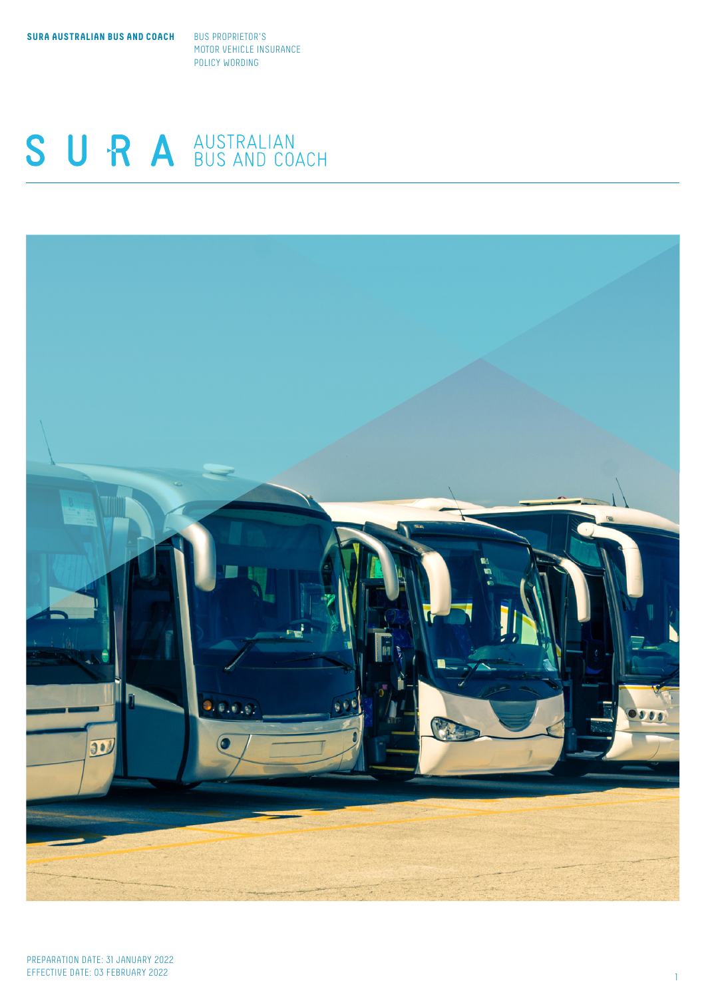**SURA AUSTRALIAN BUS AND COACH BUS PROPRIETOR'S** 

MOTOR VEHICLE INSURANCE POLICY WORDING

# SURA AUSTRALIAN

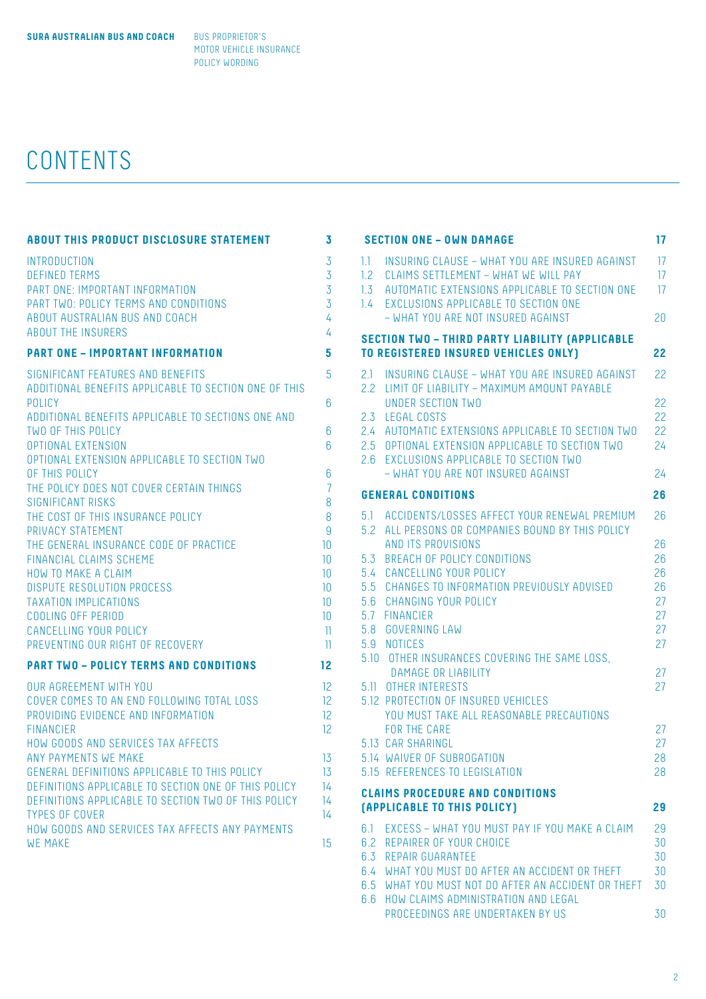# CONTENTS

| <b>ABOUT THIS PRODUCT DISCLOSURE STATEMENT</b>                                                                                                                                                                                                                                                                                                                                                                                                                                                                                                                                                                                                                                       | 3                                                                                                                 |
|--------------------------------------------------------------------------------------------------------------------------------------------------------------------------------------------------------------------------------------------------------------------------------------------------------------------------------------------------------------------------------------------------------------------------------------------------------------------------------------------------------------------------------------------------------------------------------------------------------------------------------------------------------------------------------------|-------------------------------------------------------------------------------------------------------------------|
| <b>INTRODUCTION</b><br><b>DEFINED TERMS</b><br>PART ONE: IMPORTANT INFORMATION<br>PART TWO: POLICY TERMS AND CONDITIONS<br>ABOUT AUSTRALIAN BUS AND COACH<br><b>ABOUT THE INSURERS</b>                                                                                                                                                                                                                                                                                                                                                                                                                                                                                               | $\overline{3}$<br>$\overline{3}$<br>$\overline{3}$<br>3<br>4<br>4                                                 |
| <b>PART ONE - IMPORTANT INFORMATION</b>                                                                                                                                                                                                                                                                                                                                                                                                                                                                                                                                                                                                                                              | 5                                                                                                                 |
| SIGNIFICANT FEATURES AND BENEFITS<br>ADDITIONAL BENEFITS APPLICABLE TO SECTION ONE OF THIS<br>POLICY<br>ADDITIONAL BENEFITS APPLICABLE TO SECTIONS ONE AND<br><b>TWO OF THIS POLICY</b><br><b>OPTIONAL EXTENSION</b><br>OPTIONAL EXTENSION APPLICABLE TO SECTION TWO<br>OF THIS POLICY<br>THE POLICY DOES NOT COVER CERTAIN THINGS<br><b>SIGNIFICANT RISKS</b><br>THE COST OF THIS INSURANCE POLICY<br>PRIVACY STATEMENT<br>THE GENERAL INSURANCE CODE OF PRACTICE<br>FINANCIAL CLAIMS SCHEME<br><b>HOW TO MAKE A CLAIM</b><br><b>DISPUTE RESOLUTION PROCESS</b><br><b>TAXATION IMPLICATIONS</b><br>COOLING OFF PERIOD<br>CANCELLING YOUR POLICY<br>PREVENTING OUR RIGHT OF RECOVERY | 5<br>6<br>6<br>6<br>6<br>$\overline{7}$<br>8<br>8<br>$\overline{9}$<br>10<br>10<br>10<br>10<br>10<br>10<br>Ш<br>Ш |
| <b>PART TWO - POLICY TERMS AND CONDITIONS</b>                                                                                                                                                                                                                                                                                                                                                                                                                                                                                                                                                                                                                                        | 12                                                                                                                |
| <b>OUR AGREEMENT WITH YOU</b><br>COVER COMES TO AN END FOLLOWING TOTAL LOSS<br>PROVIDING EVIDENCE AND INFORMATION<br><b>FINANCIER</b><br>HOW GOODS AND SERVICES TAX AFFECTS                                                                                                                                                                                                                                                                                                                                                                                                                                                                                                          | 12<br>12<br>12<br>12                                                                                              |
| <b>ANY PAYMENTS WE MAKE</b><br>GENERAL DEFINITIONS APPLICABLE TO THIS POLICY<br>DEFINITIONS APPLICABLE TO SECTION ONE OF THIS POLICY<br>DEFINITIONS APPLICABLE TO SECTION TWO OF THIS POLICY<br><b>TYPES OF COVER</b><br>HOW GOODS AND SERVICES TAX AFFECTS ANY PAYMENTS<br><b>WE MAKE</b>                                                                                                                                                                                                                                                                                                                                                                                           | 13<br>13<br>14<br>14<br>14<br>15                                                                                  |

|                          | <b>SECTION ONE - OWN DAMAGE</b>                                                                                                                       | 17             |
|--------------------------|-------------------------------------------------------------------------------------------------------------------------------------------------------|----------------|
| $1.1 -$<br>$1.2^{\circ}$ | INSURING CLAUSE - WHAT YOU ARE INSURED AGAINST<br>CLAIMS SETTLEMENT - WHAT WE WILL PAY<br>1.3 AUTOMATIC EXTENSIONS APPLICABLE TO SECTION ONE          | 17<br>17<br>17 |
| 1.4                      | EXCLUSIONS APPLICABLE TO SECTION ONE<br>- WHAT YOU ARE NOT INSURED AGAINST                                                                            | 20             |
|                          | <b>SECTION TWO - THIRD PARTY LIABILITY (APPLICABLE</b>                                                                                                |                |
|                          | <b>TO REGISTERED INSURED VEHICLES ONLY)</b>                                                                                                           | 22             |
| 2.1                      | INSURING CLAUSE - WHAT YOU ARE INSURED AGAINST<br>2.2 LIMIT OF LIABILITY - MAXIMUM AMOUNT PAYABLE<br>UNDER SECTION TWO                                | 22<br>22       |
| 2.3                      | <b>LEGAL COSTS</b>                                                                                                                                    | 22             |
|                          | 2.4 AUTOMATIC EXTENSIONS APPLICABLE TO SECTION TWO<br>2.5 OPTIONAL EXTENSION APPLICABLE TO SECTION TWO<br><b>EXCLUSIONS APPLICABLE TO SECTION TWO</b> | 22<br>24       |
| 2.6                      | - WHAT YOU ARE NOT INSURED AGAINST                                                                                                                    | 24             |
|                          | <b>GENERAL CONDITIONS</b>                                                                                                                             | 26             |
|                          | 5.1 ACCIDENTS/LOSSES AFFECT YOUR RENEWAL PREMIUM                                                                                                      | 26             |
| 5.2                      | ALL PERSONS OR COMPANIES BOUND BY THIS POLICY                                                                                                         |                |
|                          | AND ITS PROVISIONS<br>5.3 BREACH OF POLICY CONDITIONS                                                                                                 | 26<br>26       |
|                          | 5.4 CANCELLING YOUR POLICY                                                                                                                            | 26             |
|                          | 5.5 CHANGES TO INFORMATION PREVIOUSLY ADVISED                                                                                                         | 26             |
|                          | 5.6 CHANGING YOUR POLICY                                                                                                                              | 27             |
|                          | 5.7 FINANCIER                                                                                                                                         | 27             |
|                          | 5.8 GOVERNING LAW<br>5.9 NOTICES                                                                                                                      | 27<br>27       |
|                          | 5.10 OTHER INSURANCES COVERING THE SAME LOSS,                                                                                                         |                |
|                          | DAMAGE OR LIABILITY                                                                                                                                   | 27             |
|                          | 5.11 OTHER INTERESTS                                                                                                                                  | 27             |
|                          | 5.12 PROTECTION OF INSURED VEHICLES<br>YOU MUST TAKE ALL REASONABLE PRECAUTIONS                                                                       |                |
|                          | <b>FOR THE CARE</b>                                                                                                                                   | 27             |
|                          | 5.13 CAR SHARINGL                                                                                                                                     | 27             |
|                          | 5.14 WAIVER OF SUBROGATION                                                                                                                            | 28             |
|                          | 5.15 REFERENCES TO LEGISLATION                                                                                                                        | 28             |
|                          | <b>CLAIMS PROCEDURE AND CONDITIONS</b>                                                                                                                |                |
|                          | (APPLICABLE TO THIS POLICY)                                                                                                                           | 29             |
|                          | 6.1 EXCESS - WHAT YOU MUST PAY IF YOU MAKE A CLAIM                                                                                                    | 29             |
|                          | 6.2 REPAIRER OF YOUR CHOICE<br>6.3 REPAIR GUARANTEE                                                                                                   | 30<br>30       |
|                          | 6.4 WHAT YOU MUST DO AFTER AN ACCIDENT OR THEFT                                                                                                       | 30             |
|                          | 6.5 WHAT YOU MUST NOT DO AFTER AN ACCIDENT OR THEFT<br>6.6 HOW CLAIMS ADMINISTRATION AND LEGAL                                                        | 30             |
|                          | PROCEEDINGS ARE UNDERTAKEN BY US                                                                                                                      | 30             |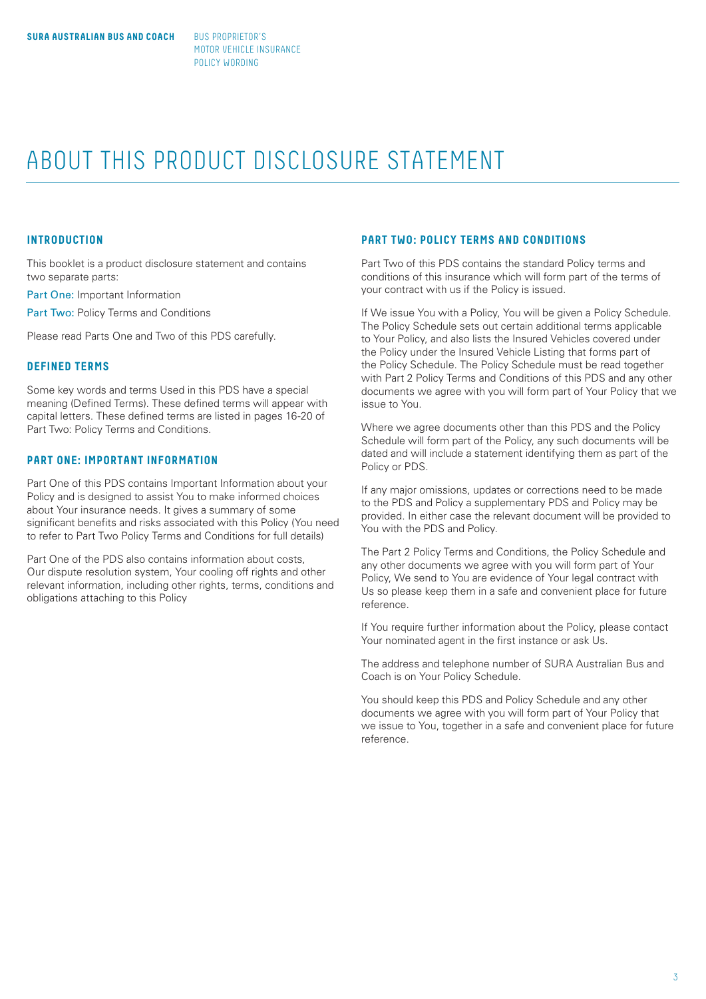# ABOUT THIS PRODUCT DISCLOSURE STATEMENT

# **INTRODUCTION**

This booklet is a product disclosure statement and contains two separate parts:

Part One: Important Information

Part Two: Policy Terms and Conditions

Please read Parts One and Two of this PDS carefully.

# **DEFINED TERMS**

Some key words and terms Used in this PDS have a special meaning (Defined Terms). These defined terms will appear with capital letters. These defined terms are listed in pages 16-20 of Part Two: Policy Terms and Conditions.

# **PART ONE: IMPORTANT INFORMATION**

Part One of this PDS contains Important Information about your Policy and is designed to assist You to make informed choices about Your insurance needs. It gives a summary of some significant benefits and risks associated with this Policy (You need to refer to Part Two Policy Terms and Conditions for full details)

Part One of the PDS also contains information about costs, Our dispute resolution system, Your cooling off rights and other relevant information, including other rights, terms, conditions and obligations attaching to this Policy

# **PART TWO: POLICY TERMS AND CONDITIONS**

Part Two of this PDS contains the standard Policy terms and conditions of this insurance which will form part of the terms of your contract with us if the Policy is issued.

If We issue You with a Policy, You will be given a Policy Schedule. The Policy Schedule sets out certain additional terms applicable to Your Policy, and also lists the Insured Vehicles covered under the Policy under the Insured Vehicle Listing that forms part of the Policy Schedule. The Policy Schedule must be read together with Part 2 Policy Terms and Conditions of this PDS and any other documents we agree with you will form part of Your Policy that we issue to You.

Where we agree documents other than this PDS and the Policy Schedule will form part of the Policy, any such documents will be dated and will include a statement identifying them as part of the Policy or PDS.

If any major omissions, updates or corrections need to be made to the PDS and Policy a supplementary PDS and Policy may be provided. In either case the relevant document will be provided to You with the PDS and Policy.

The Part 2 Policy Terms and Conditions, the Policy Schedule and any other documents we agree with you will form part of Your Policy, We send to You are evidence of Your legal contract with Us so please keep them in a safe and convenient place for future reference.

If You require further information about the Policy, please contact Your nominated agent in the first instance or ask Us.

The address and telephone number of SURA Australian Bus and Coach is on Your Policy Schedule.

You should keep this PDS and Policy Schedule and any other documents we agree with you will form part of Your Policy that we issue to You, together in a safe and convenient place for future reference.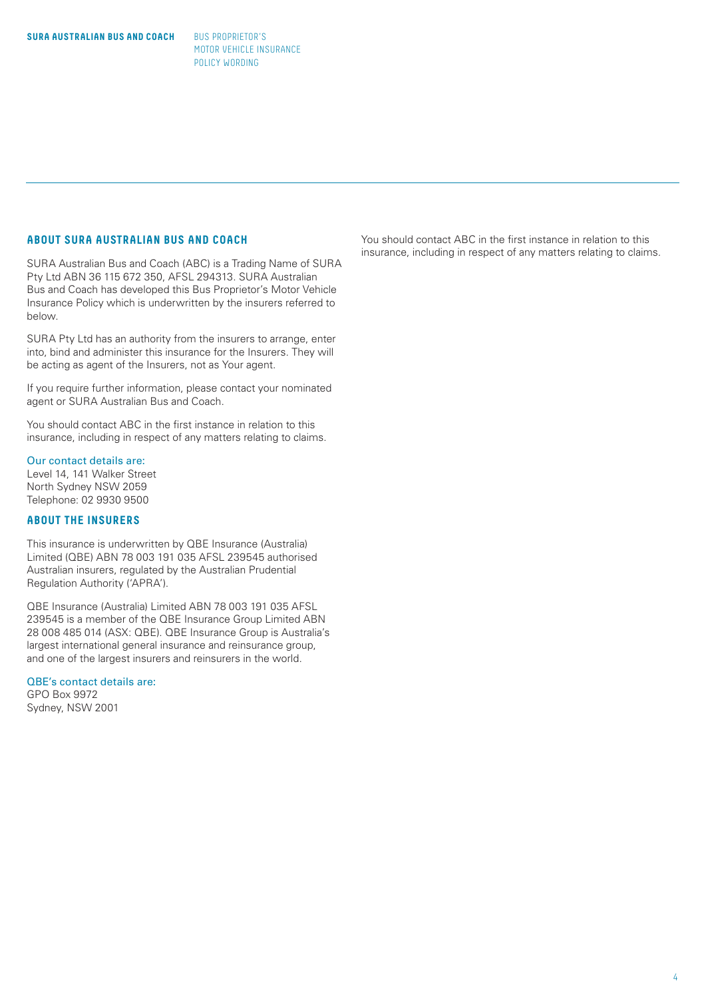# **ABOUT SURA AUSTRALIAN BUS AND COACH**

SURA Australian Bus and Coach (ABC) is a Trading Name of SURA Pty Ltd ABN 36 115 672 350, AFSL 294313. SURA Australian Bus and Coach has developed this Bus Proprietor's Motor Vehicle Insurance Policy which is underwritten by the insurers referred to below.

SURA Pty Ltd has an authority from the insurers to arrange, enter into, bind and administer this insurance for the Insurers. They will be acting as agent of the Insurers, not as Your agent.

If you require further information, please contact your nominated agent or SURA Australian Bus and Coach.

You should contact ABC in the first instance in relation to this insurance, including in respect of any matters relating to claims.

# Our contact details are:

Level 14, 141 Walker Street North Sydney NSW 2059 Telephone: 02 9930 9500

# **ABOUT THE INSURERS**

This insurance is underwritten by QBE Insurance (Australia) Limited (QBE) ABN 78 003 191 035 AFSL 239545 authorised Australian insurers, regulated by the Australian Prudential Regulation Authority ('APRA').

QBE Insurance (Australia) Limited ABN 78 003 191 035 AFSL 239545 is a member of the QBE Insurance Group Limited ABN 28 008 485 014 (ASX: QBE). QBE Insurance Group is Australia's largest international general insurance and reinsurance group, and one of the largest insurers and reinsurers in the world.

# QBE's contact details are:

GPO Box 9972 Sydney, NSW 2001 You should contact ABC in the first instance in relation to this insurance, including in respect of any matters relating to claims.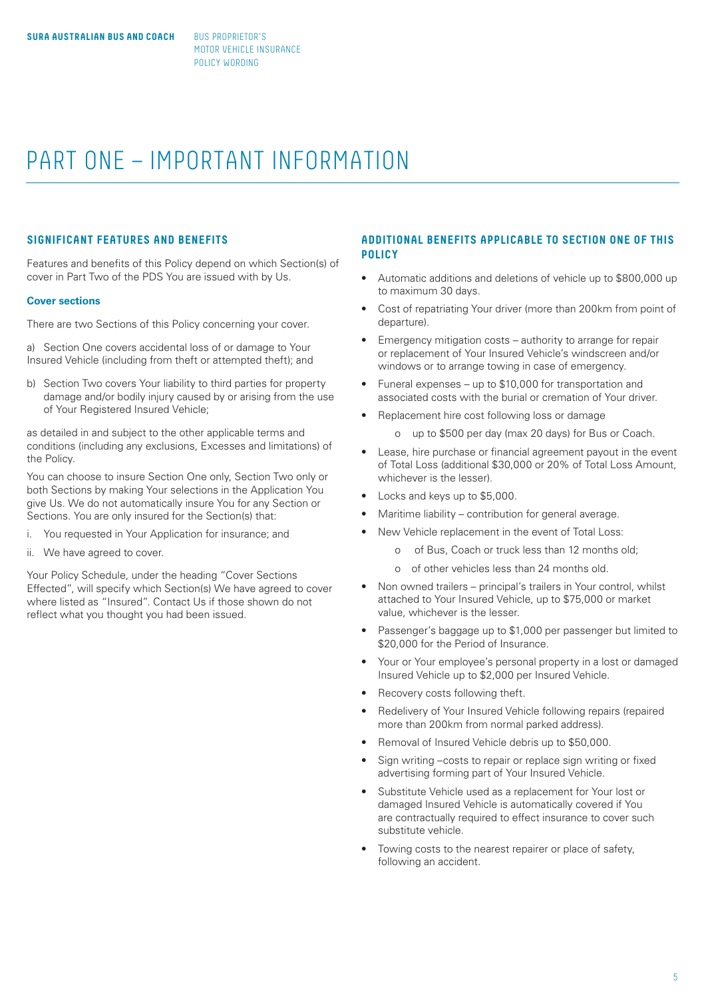# PART ONE – IMPORTANT INFORMATION

# **SIGNIFICANT FEATURES AND BENEFITS**

Features and benefits of this Policy depend on which Section(s) of cover in Part Two of the PDS You are issued with by Us.

#### **Cover sections**

There are two Sections of this Policy concerning your cover.

a) Section One covers accidental loss of or damage to Your Insured Vehicle (including from theft or attempted theft); and

b) Section Two covers Your liability to third parties for property damage and/or bodily injury caused by or arising from the use of Your Registered Insured Vehicle;

as detailed in and subject to the other applicable terms and conditions (including any exclusions, Excesses and limitations) of the Policy.

You can choose to insure Section One only, Section Two only or both Sections by making Your selections in the Application You give Us. We do not automatically insure You for any Section or Sections. You are only insured for the Section(s) that:

- i. You requested in Your Application for insurance; and
- ii. We have agreed to cover.

Your Policy Schedule, under the heading "Cover Sections Effected", will specify which Section(s) We have agreed to cover where listed as "Insured". Contact Us if those shown do not reflect what you thought you had been issued.

# **ADDITIONAL BENEFITS APPLICABLE TO SECTION ONE OF THIS POLICY**

- Automatic additions and deletions of vehicle up to \$800,000 up to maximum 30 days.
- Cost of repatriating Your driver (more than 200km from point of departure).
- Emergency mitigation costs authority to arrange for repair or replacement of Your Insured Vehicle's windscreen and/or windows or to arrange towing in case of emergency.
- Funeral expenses up to \$10,000 for transportation and associated costs with the burial or cremation of Your driver.
- Replacement hire cost following loss or damage
	- o up to \$500 per day (max 20 days) for Bus or Coach.
- Lease, hire purchase or financial agreement payout in the event of Total Loss (additional \$30,000 or 20% of Total Loss Amount, whichever is the lesser).
- Locks and keys up to \$5,000.
- Maritime liability contribution for general average.
	- New Vehicle replacement in the event of Total Loss:
		- o of Bus, Coach or truck less than 12 months old;
		- o of other vehicles less than 24 months old.
- Non owned trailers principal's trailers in Your control, whilst attached to Your Insured Vehicle, up to \$75,000 or market value, whichever is the lesser.
- Passenger's baggage up to \$1,000 per passenger but limited to \$20,000 for the Period of Insurance.
- Your or Your employee's personal property in a lost or damaged Insured Vehicle up to \$2,000 per Insured Vehicle.
- Recovery costs following theft.
- Redelivery of Your Insured Vehicle following repairs (repaired more than 200km from normal parked address).
- Removal of Insured Vehicle debris up to \$50,000.
- Sign writing –costs to repair or replace sign writing or fixed advertising forming part of Your Insured Vehicle.
- Substitute Vehicle used as a replacement for Your lost or damaged Insured Vehicle is automatically covered if You are contractually required to effect insurance to cover such substitute vehicle.
- Towing costs to the nearest repairer or place of safety, following an accident.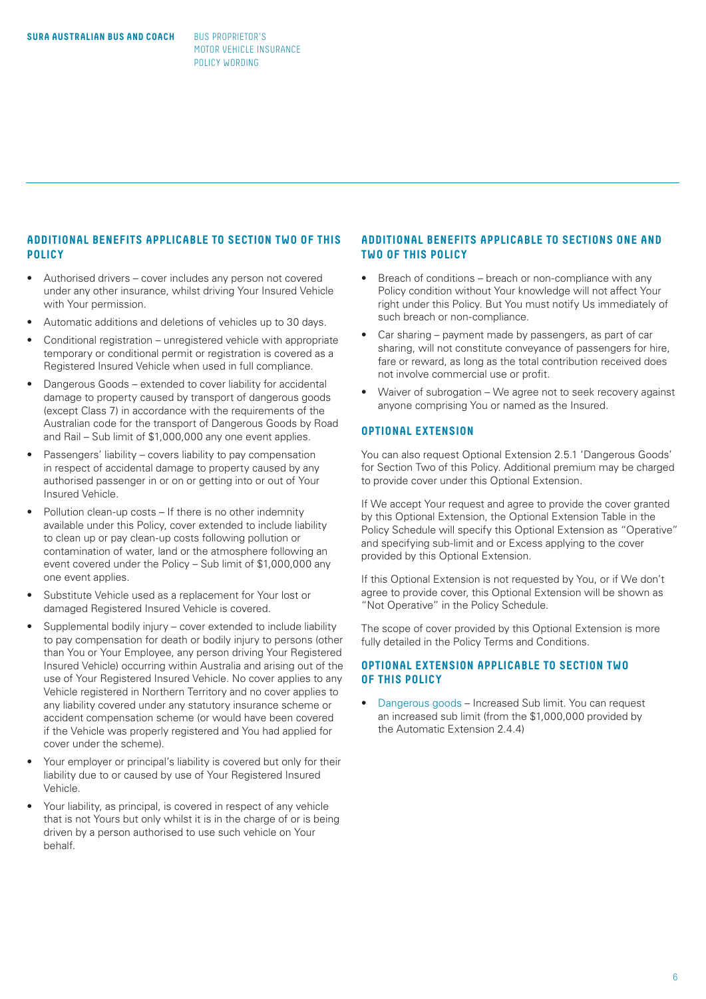# **ADDITIONAL BENEFITS APPLICABLE TO SECTION TWO OF THIS POLICY**

- Authorised drivers cover includes any person not covered under any other insurance, whilst driving Your Insured Vehicle with Your permission.
- Automatic additions and deletions of vehicles up to 30 days.
- Conditional registration unregistered vehicle with appropriate temporary or conditional permit or registration is covered as a Registered Insured Vehicle when used in full compliance.
- Dangerous Goods extended to cover liability for accidental damage to property caused by transport of dangerous goods (except Class 7) in accordance with the requirements of the Australian code for the transport of Dangerous Goods by Road and Rail – Sub limit of \$1,000,000 any one event applies.
- Passengers' liability covers liability to pay compensation in respect of accidental damage to property caused by any authorised passenger in or on or getting into or out of Your Insured Vehicle.
- Pollution clean-up costs If there is no other indemnity available under this Policy, cover extended to include liability to clean up or pay clean-up costs following pollution or contamination of water, land or the atmosphere following an event covered under the Policy – Sub limit of \$1,000,000 any one event applies.
- Substitute Vehicle used as a replacement for Your lost or damaged Registered Insured Vehicle is covered.
- Supplemental bodily injury cover extended to include liability to pay compensation for death or bodily injury to persons (other than You or Your Employee, any person driving Your Registered Insured Vehicle) occurring within Australia and arising out of the use of Your Registered Insured Vehicle. No cover applies to any Vehicle registered in Northern Territory and no cover applies to any liability covered under any statutory insurance scheme or accident compensation scheme (or would have been covered if the Vehicle was properly registered and You had applied for cover under the scheme).
- Your employer or principal's liability is covered but only for their liability due to or caused by use of Your Registered Insured Vehicle.
- Your liability, as principal, is covered in respect of any vehicle that is not Yours but only whilst it is in the charge of or is being driven by a person authorised to use such vehicle on Your behalf.

# **ADDITIONAL BENEFITS APPLICABLE TO SECTIONS ONE AND TWO OF THIS POLICY**

- Breach of conditions breach or non-compliance with any Policy condition without Your knowledge will not affect Your right under this Policy. But You must notify Us immediately of such breach or non-compliance.
- Car sharing payment made by passengers, as part of car sharing, will not constitute conveyance of passengers for hire, fare or reward, as long as the total contribution received does not involve commercial use or profit.
- Waiver of subrogation We agree not to seek recovery against anyone comprising You or named as the Insured.

# **OPTIONAL EXTENSION**

You can also request Optional Extension 2.5.1 'Dangerous Goods' for Section Two of this Policy. Additional premium may be charged to provide cover under this Optional Extension.

If We accept Your request and agree to provide the cover granted by this Optional Extension, the Optional Extension Table in the Policy Schedule will specify this Optional Extension as "Operative" and specifying sub-limit and or Excess applying to the cover provided by this Optional Extension.

If this Optional Extension is not requested by You, or if We don't agree to provide cover, this Optional Extension will be shown as "Not Operative" in the Policy Schedule.

The scope of cover provided by this Optional Extension is more fully detailed in the Policy Terms and Conditions.

# **OPTIONAL EXTENSION APPLICABLE TO SECTION TWO OF THIS POLICY**

• Dangerous goods – Increased Sub limit. You can request an increased sub limit (from the \$1,000,000 provided by the Automatic Extension 2.4.4)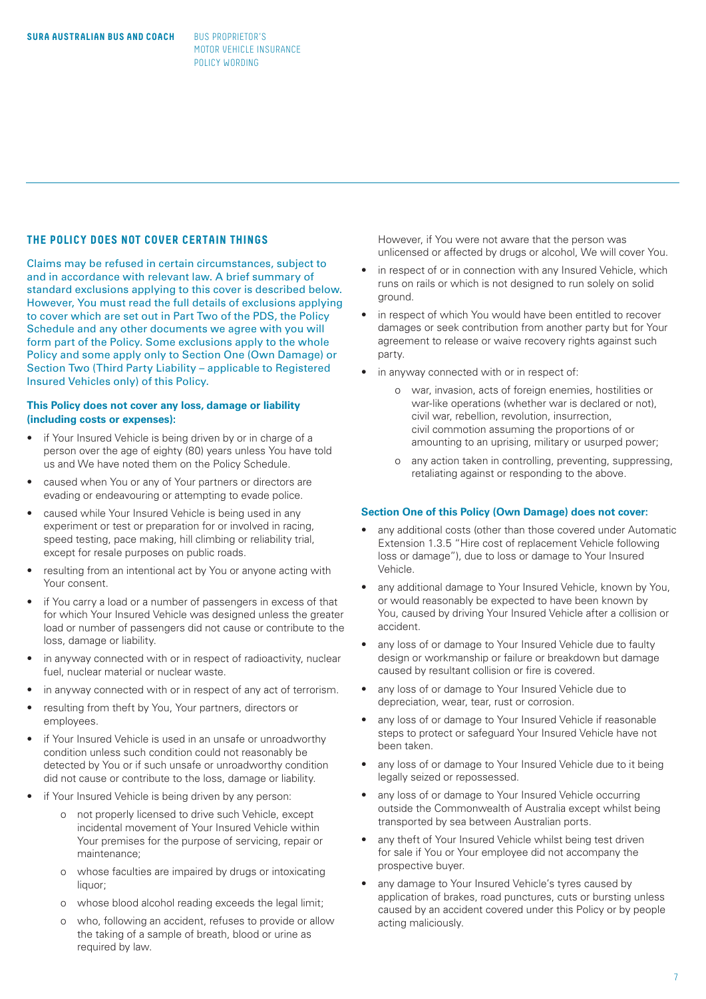# **THE POLICY DOES NOT COVER CERTAIN THINGS**

Claims may be refused in certain circumstances, subject to and in accordance with relevant law. A brief summary of standard exclusions applying to this cover is described below. However, You must read the full details of exclusions applying to cover which are set out in Part Two of the PDS, the Policy Schedule and any other documents we agree with you will form part of the Policy. Some exclusions apply to the whole Policy and some apply only to Section One (Own Damage) or Section Two (Third Party Liability – applicable to Registered Insured Vehicles only) of this Policy.

# **This Policy does not cover any loss, damage or liability (including costs or expenses):**

- if Your Insured Vehicle is being driven by or in charge of a person over the age of eighty (80) years unless You have told us and We have noted them on the Policy Schedule.
- caused when You or any of Your partners or directors are evading or endeavouring or attempting to evade police.
- caused while Your Insured Vehicle is being used in any experiment or test or preparation for or involved in racing, speed testing, pace making, hill climbing or reliability trial, except for resale purposes on public roads.
- resulting from an intentional act by You or anyone acting with Your consent.
- if You carry a load or a number of passengers in excess of that for which Your Insured Vehicle was designed unless the greater load or number of passengers did not cause or contribute to the loss, damage or liability.
- in anyway connected with or in respect of radioactivity, nuclear fuel, nuclear material or nuclear waste.
- in anyway connected with or in respect of any act of terrorism.
- resulting from theft by You, Your partners, directors or employees.
- if Your Insured Vehicle is used in an unsafe or unroadworthy condition unless such condition could not reasonably be detected by You or if such unsafe or unroadworthy condition did not cause or contribute to the loss, damage or liability.
- if Your Insured Vehicle is being driven by any person:
	- o not properly licensed to drive such Vehicle, except incidental movement of Your Insured Vehicle within Your premises for the purpose of servicing, repair or maintenance;
	- o whose faculties are impaired by drugs or intoxicating liquor;
	- o whose blood alcohol reading exceeds the legal limit;
	- o who, following an accident, refuses to provide or allow the taking of a sample of breath, blood or urine as required by law.

However, if You were not aware that the person was unlicensed or affected by drugs or alcohol, We will cover You.

- in respect of or in connection with any Insured Vehicle, which runs on rails or which is not designed to run solely on solid ground.
- in respect of which You would have been entitled to recover damages or seek contribution from another party but for Your agreement to release or waive recovery rights against such party.
- in anyway connected with or in respect of:
	- o war, invasion, acts of foreign enemies, hostilities or war-like operations (whether war is declared or not), civil war, rebellion, revolution, insurrection, civil commotion assuming the proportions of or amounting to an uprising, military or usurped power;
	- o any action taken in controlling, preventing, suppressing, retaliating against or responding to the above.

#### **Section One of this Policy (Own Damage) does not cover:**

- any additional costs (other than those covered under Automatic Extension 1.3.5 "Hire cost of replacement Vehicle following loss or damage"), due to loss or damage to Your Insured Vehicle.
- any additional damage to Your Insured Vehicle, known by You, or would reasonably be expected to have been known by You, caused by driving Your Insured Vehicle after a collision or accident.
- any loss of or damage to Your Insured Vehicle due to faulty design or workmanship or failure or breakdown but damage caused by resultant collision or fire is covered.
- any loss of or damage to Your Insured Vehicle due to depreciation, wear, tear, rust or corrosion.
- any loss of or damage to Your Insured Vehicle if reasonable steps to protect or safeguard Your Insured Vehicle have not been taken.
- any loss of or damage to Your Insured Vehicle due to it being legally seized or repossessed.
- any loss of or damage to Your Insured Vehicle occurring outside the Commonwealth of Australia except whilst being transported by sea between Australian ports.
- any theft of Your Insured Vehicle whilst being test driven for sale if You or Your employee did not accompany the prospective buyer.
- any damage to Your Insured Vehicle's tyres caused by application of brakes, road punctures, cuts or bursting unless caused by an accident covered under this Policy or by people acting maliciously.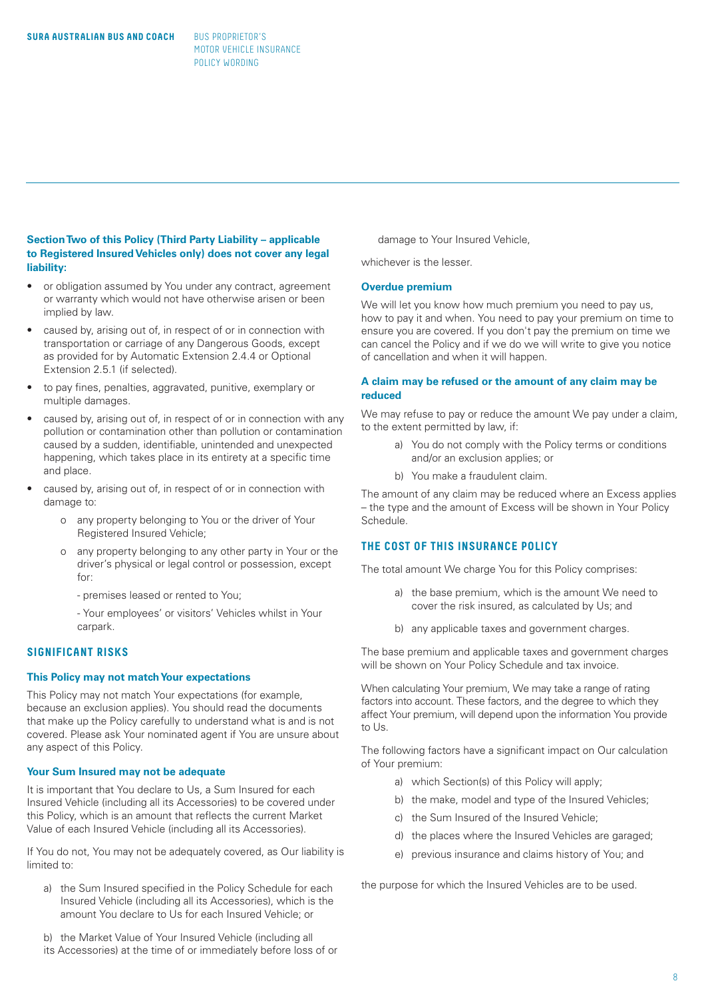# **Section Two of this Policy (Third Party Liability – applicable to Registered Insured Vehicles only) does not cover any legal liability:**

- or obligation assumed by You under any contract, agreement or warranty which would not have otherwise arisen or been implied by law.
- caused by, arising out of, in respect of or in connection with transportation or carriage of any Dangerous Goods, except as provided for by Automatic Extension 2.4.4 or Optional Extension 2.5.1 (if selected).
- to pay fines, penalties, aggravated, punitive, exemplary or multiple damages.
- caused by, arising out of, in respect of or in connection with any pollution or contamination other than pollution or contamination caused by a sudden, identifiable, unintended and unexpected happening, which takes place in its entirety at a specific time and place.
- caused by, arising out of, in respect of or in connection with damage to:
	- o any property belonging to You or the driver of Your Registered Insured Vehicle;
	- o any property belonging to any other party in Your or the driver's physical or legal control or possession, except for:
		- premises leased or rented to You;
		- Your employees' or visitors' Vehicles whilst in Your carpark.

# **SIGNIFICANT RISKS**

#### **This Policy may not match Your expectations**

This Policy may not match Your expectations (for example, because an exclusion applies). You should read the documents that make up the Policy carefully to understand what is and is not covered. Please ask Your nominated agent if You are unsure about any aspect of this Policy.

#### **Your Sum Insured may not be adequate**

It is important that You declare to Us, a Sum Insured for each Insured Vehicle (including all its Accessories) to be covered under this Policy, which is an amount that reflects the current Market Value of each Insured Vehicle (including all its Accessories).

If You do not, You may not be adequately covered, as Our liability is limited to:

- a) the Sum Insured specified in the Policy Schedule for each Insured Vehicle (including all its Accessories), which is the amount You declare to Us for each Insured Vehicle; or
- b) the Market Value of Your Insured Vehicle (including all
- its Accessories) at the time of or immediately before loss of or

damage to Your Insured Vehicle,

whichever is the lesser.

#### **Overdue premium**

We will let you know how much premium you need to pay us, how to pay it and when. You need to pay your premium on time to ensure you are covered. If you don't pay the premium on time we can cancel the Policy and if we do we will write to give you notice of cancellation and when it will happen.

# **A claim may be refused or the amount of any claim may be reduced**

We may refuse to pay or reduce the amount We pay under a claim, to the extent permitted by law, if:

- a) You do not comply with the Policy terms or conditions and/or an exclusion applies; or
- b) You make a fraudulent claim.

The amount of any claim may be reduced where an Excess applies – the type and the amount of Excess will be shown in Your Policy Schedule.

# **THE COST OF THIS INSURANCE POLICY**

The total amount We charge You for this Policy comprises:

- a) the base premium, which is the amount We need to cover the risk insured, as calculated by Us; and
- b) any applicable taxes and government charges.

The base premium and applicable taxes and government charges will be shown on Your Policy Schedule and tax invoice.

When calculating Your premium, We may take a range of rating factors into account. These factors, and the degree to which they affect Your premium, will depend upon the information You provide to Us.

The following factors have a significant impact on Our calculation of Your premium:

- a) which Section(s) of this Policy will apply;
- b) the make, model and type of the Insured Vehicles;
- c) the Sum Insured of the Insured Vehicle;
- d) the places where the Insured Vehicles are garaged;
- e) previous insurance and claims history of You; and

the purpose for which the Insured Vehicles are to be used.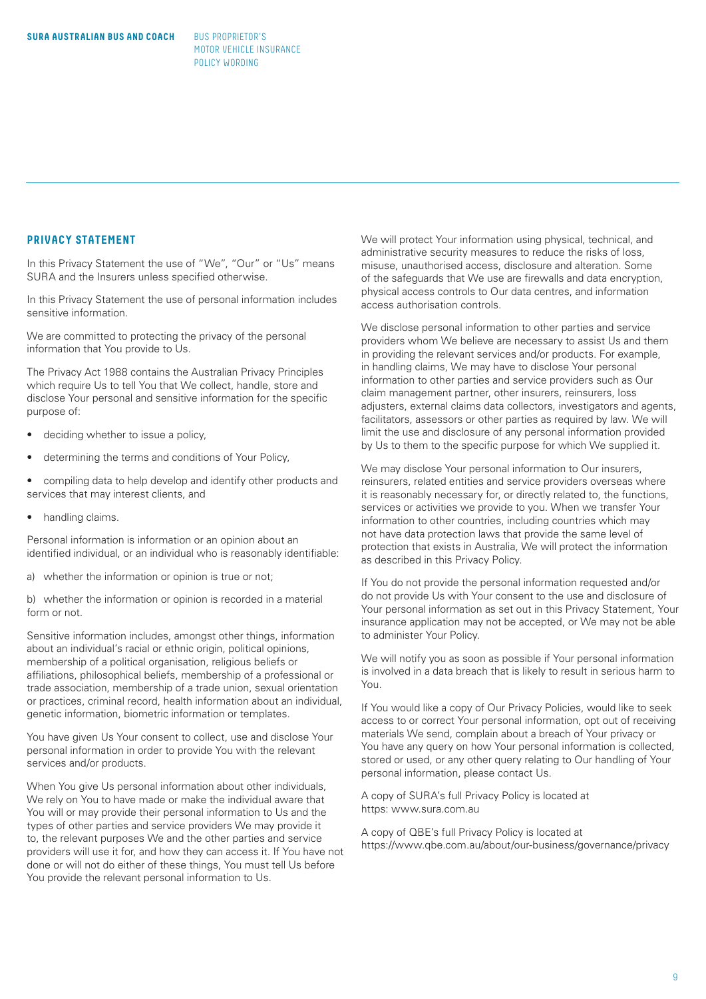# **PRIVACY STATEMENT**

In this Privacy Statement the use of "We", "Our" or "Us" means SURA and the Insurers unless specified otherwise.

In this Privacy Statement the use of personal information includes sensitive information.

We are committed to protecting the privacy of the personal information that You provide to Us.

The Privacy Act 1988 contains the Australian Privacy Principles which require Us to tell You that We collect, handle, store and disclose Your personal and sensitive information for the specific purpose of:

- deciding whether to issue a policy,
- determining the terms and conditions of Your Policy,
- compiling data to help develop and identify other products and services that may interest clients, and
- handling claims.

Personal information is information or an opinion about an identified individual, or an individual who is reasonably identifiable:

a) whether the information or opinion is true or not;

b) whether the information or opinion is recorded in a material form or not.

Sensitive information includes, amongst other things, information about an individual's racial or ethnic origin, political opinions, membership of a political organisation, religious beliefs or affiliations, philosophical beliefs, membership of a professional or trade association, membership of a trade union, sexual orientation or practices, criminal record, health information about an individual, genetic information, biometric information or templates.

You have given Us Your consent to collect, use and disclose Your personal information in order to provide You with the relevant services and/or products.

When You give Us personal information about other individuals, We rely on You to have made or make the individual aware that You will or may provide their personal information to Us and the types of other parties and service providers We may provide it to, the relevant purposes We and the other parties and service providers will use it for, and how they can access it. If You have not done or will not do either of these things, You must tell Us before You provide the relevant personal information to Us.

We will protect Your information using physical, technical, and administrative security measures to reduce the risks of loss, misuse, unauthorised access, disclosure and alteration. Some of the safeguards that We use are firewalls and data encryption, physical access controls to Our data centres, and information access authorisation controls.

We disclose personal information to other parties and service providers whom We believe are necessary to assist Us and them in providing the relevant services and/or products. For example, in handling claims, We may have to disclose Your personal information to other parties and service providers such as Our claim management partner, other insurers, reinsurers, loss adjusters, external claims data collectors, investigators and agents, facilitators, assessors or other parties as required by law. We will limit the use and disclosure of any personal information provided by Us to them to the specific purpose for which We supplied it.

We may disclose Your personal information to Our insurers, reinsurers, related entities and service providers overseas where it is reasonably necessary for, or directly related to, the functions, services or activities we provide to you. When we transfer Your information to other countries, including countries which may not have data protection laws that provide the same level of protection that exists in Australia, We will protect the information as described in this Privacy Policy.

If You do not provide the personal information requested and/or do not provide Us with Your consent to the use and disclosure of Your personal information as set out in this Privacy Statement, Your insurance application may not be accepted, or We may not be able to administer Your Policy.

We will notify you as soon as possible if Your personal information is involved in a data breach that is likely to result in serious harm to You.

If You would like a copy of Our Privacy Policies, would like to seek access to or correct Your personal information, opt out of receiving materials We send, complain about a breach of Your privacy or You have any query on how Your personal information is collected, stored or used, or any other query relating to Our handling of Your personal information, please contact Us.

A copy of SURA's full Privacy Policy is located at https: www.sura.com.au

A copy of QBE's full Privacy Policy is located at https://www.qbe.com.au/about/our-business/governance/privacy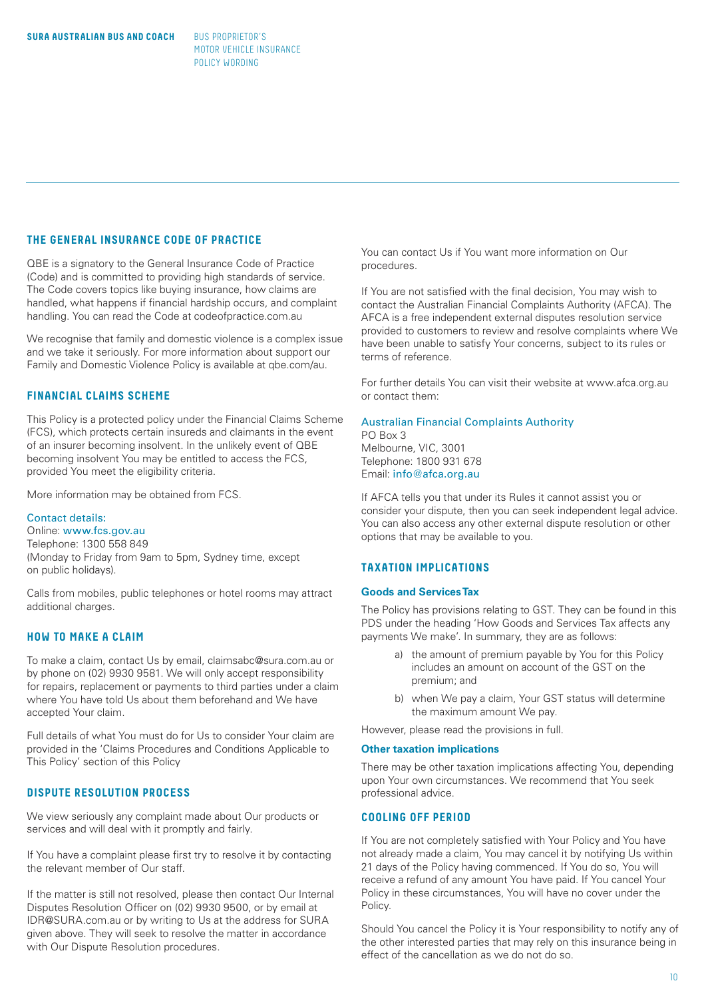# **THE GENERAL INSURANCE CODE OF PRACTICE**

QBE is a signatory to the General Insurance Code of Practice (Code) and is committed to providing high standards of service. The Code covers topics like buying insurance, how claims are handled, what happens if financial hardship occurs, and complaint handling. You can read the Code at codeofpractice.com.au

We recognise that family and domestic violence is a complex issue and we take it seriously. For more information about support our Family and Domestic Violence Policy is available at qbe.com/au.

# **FINANCIAL CLAIMS SCHEME**

This Policy is a protected policy under the Financial Claims Scheme (FCS), which protects certain insureds and claimants in the event of an insurer becoming insolvent. In the unlikely event of QBE becoming insolvent You may be entitled to access the FCS, provided You meet the eligibility criteria.

More information may be obtained from FCS.

### Contact details:

Online: www.fcs.gov.au Telephone: 1300 558 849 (Monday to Friday from 9am to 5pm, Sydney time, except on public holidays).

Calls from mobiles, public telephones or hotel rooms may attract additional charges.

# **HOW TO MAKE A CLAIM**

To make a claim, contact Us by email, claimsabc@sura.com.au or by phone on (02) 9930 9581. We will only accept responsibility for repairs, replacement or payments to third parties under a claim where You have told Us about them beforehand and We have accepted Your claim.

Full details of what You must do for Us to consider Your claim are provided in the 'Claims Procedures and Conditions Applicable to This Policy' section of this Policy

# **DISPUTE RESOLUTION PROCESS**

We view seriously any complaint made about Our products or services and will deal with it promptly and fairly.

If You have a complaint please first try to resolve it by contacting the relevant member of Our staff.

If the matter is still not resolved, please then contact Our Internal Disputes Resolution Officer on (02) 9930 9500, or by email at IDR@SURA.com.au or by writing to Us at the address for SURA given above. They will seek to resolve the matter in accordance with Our Dispute Resolution procedures.

You can contact Us if You want more information on Our procedures.

If You are not satisfied with the final decision, You may wish to contact the Australian Financial Complaints Authority (AFCA). The AFCA is a free independent external disputes resolution service provided to customers to review and resolve complaints where We have been unable to satisfy Your concerns, subject to its rules or terms of reference.

For further details You can visit their website at www.afca.org.au or contact them:

#### Australian Financial Complaints Authority PO Box 3

Melbourne, VIC, 3001 Telephone: 1800 931 678 Email: info@afca.org.au

If AFCA tells you that under its Rules it cannot assist you or consider your dispute, then you can seek independent legal advice. You can also access any other external dispute resolution or other options that may be available to you.

# **TAXATION IMPLICATIONS**

#### **Goods and Services Tax**

The Policy has provisions relating to GST. They can be found in this PDS under the heading 'How Goods and Services Tax affects any payments We make'. In summary, they are as follows:

- a) the amount of premium payable by You for this Policy includes an amount on account of the GST on the premium; and
- b) when We pay a claim, Your GST status will determine the maximum amount We pay.

However, please read the provisions in full.

#### **Other taxation implications**

There may be other taxation implications affecting You, depending upon Your own circumstances. We recommend that You seek professional advice.

# **COOLING OFF PERIOD**

If You are not completely satisfied with Your Policy and You have not already made a claim, You may cancel it by notifying Us within 21 days of the Policy having commenced. If You do so, You will receive a refund of any amount You have paid. If You cancel Your Policy in these circumstances, You will have no cover under the Policy.

Should You cancel the Policy it is Your responsibility to notify any of the other interested parties that may rely on this insurance being in effect of the cancellation as we do not do so.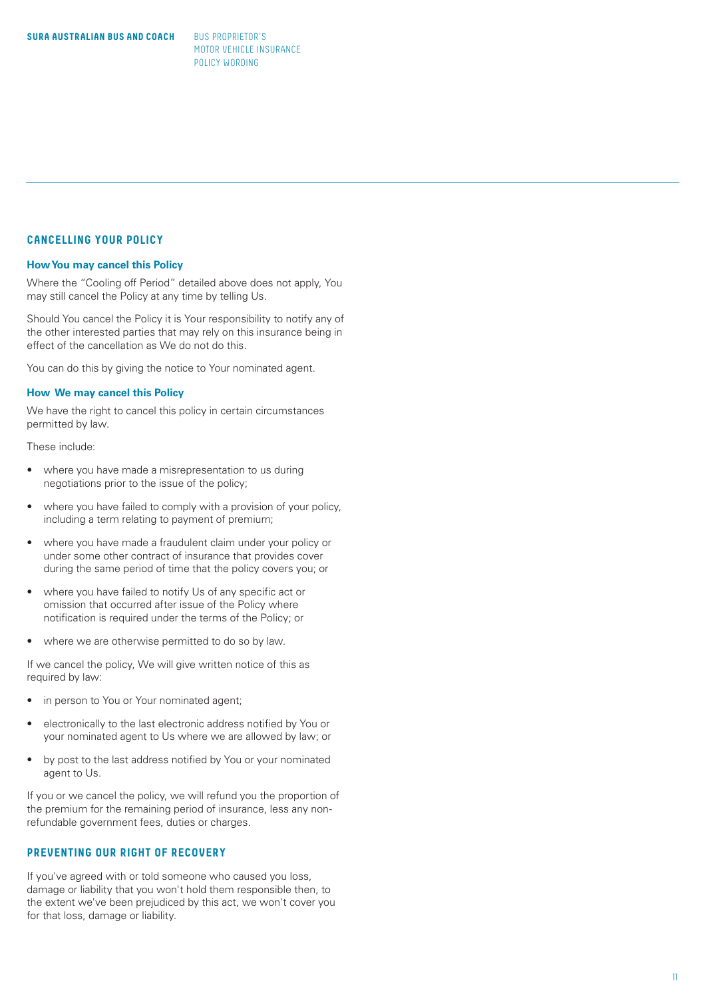# **CANCELLING YOUR POLICY**

#### **How You may cancel this Policy**

Where the "Cooling off Period" detailed above does not apply, You may still cancel the Policy at any time by telling Us.

Should You cancel the Policy it is Your responsibility to notify any of the other interested parties that may rely on this insurance being in effect of the cancellation as We do not do this.

You can do this by giving the notice to Your nominated agent.

#### **How We may cancel this Policy**

We have the right to cancel this policy in certain circumstances permitted by law.

These include:

- where you have made a misrepresentation to us during negotiations prior to the issue of the policy;
- where you have failed to comply with a provision of your policy, including a term relating to payment of premium;
- where you have made a fraudulent claim under your policy or under some other contract of insurance that provides cover during the same period of time that the policy covers you; or
- where you have failed to notify Us of any specific act or omission that occurred after issue of the Policy where notification is required under the terms of the Policy; or
- where we are otherwise permitted to do so by law.

If we cancel the policy, We will give written notice of this as required by law:

- 
- in person to You or Your nominated agent; electronically to the last electronic address notified by You or your nominated agent to Us where we are allowed by law; or
- by post to the last address notified by You or your nominated agent to Us.

If you or we cancel the policy, we will refund you the proportion of the premium for the remaining period of insurance, less any nonrefundable government fees, duties or charges.

# **PREVENTING OUR RIGHT OF RECOVERY**

If you've agreed with or told someone who caused you loss, damage or liability that you won't hold them responsible then, to the extent we've been prejudiced by this act, we won't cover you for that loss, damage or liability.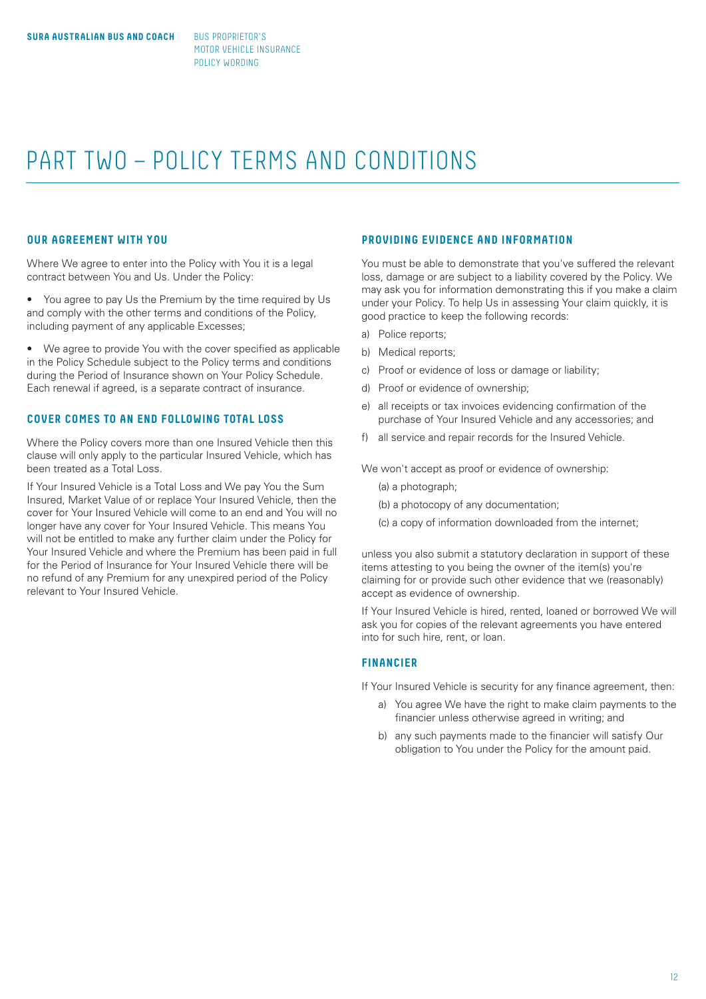# PART TWO – POLICY TERMS AND CONDITIONS

# **OUR AGREEMENT WITH YOU**

Where We agree to enter into the Policy with You it is a legal contract between You and Us. Under the Policy:

• You agree to pay Us the Premium by the time required by Us and comply with the other terms and conditions of the Policy, including payment of any applicable Excesses;

• We agree to provide You with the cover specified as applicable in the Policy Schedule subject to the Policy terms and conditions during the Period of Insurance shown on Your Policy Schedule. Each renewal if agreed, is a separate contract of insurance.

# **COVER COMES TO AN END FOLLOWING TOTAL LOSS**

Where the Policy covers more than one Insured Vehicle then this clause will only apply to the particular Insured Vehicle, which has been treated as a Total Loss.

If Your Insured Vehicle is a Total Loss and We pay You the Sum Insured, Market Value of or replace Your Insured Vehicle, then the cover for Your Insured Vehicle will come to an end and You will no longer have any cover for Your Insured Vehicle. This means You will not be entitled to make any further claim under the Policy for Your Insured Vehicle and where the Premium has been paid in full for the Period of Insurance for Your Insured Vehicle there will be no refund of any Premium for any unexpired period of the Policy relevant to Your Insured Vehicle.

# **PROVIDING EVIDENCE AND INFORMATION**

You must be able to demonstrate that you've suffered the relevant loss, damage or are subject to a liability covered by the Policy. We may ask you for information demonstrating this if you make a claim under your Policy. To help Us in assessing Your claim quickly, it is good practice to keep the following records:

- a) Police reports;
- b) Medical reports;
- c) Proof or evidence of loss or damage or liability;
- d) Proof or evidence of ownership;
- e) all receipts or tax invoices evidencing confirmation of the purchase of Your Insured Vehicle and any accessories; and
- f) all service and repair records for the Insured Vehicle.

We won't accept as proof or evidence of ownership:

- (a) a photograph;
- (b) a photocopy of any documentation;
- (c) a copy of information downloaded from the internet;

unless you also submit a statutory declaration in support of these items attesting to you being the owner of the item(s) you're claiming for or provide such other evidence that we (reasonably) accept as evidence of ownership.

If Your Insured Vehicle is hired, rented, loaned or borrowed We will ask you for copies of the relevant agreements you have entered into for such hire, rent, or loan.

# **FINANCIER**

If Your Insured Vehicle is security for any finance agreement, then:

- a) You agree We have the right to make claim payments to the financier unless otherwise agreed in writing; and
- b) any such payments made to the financier will satisfy Our obligation to You under the Policy for the amount paid.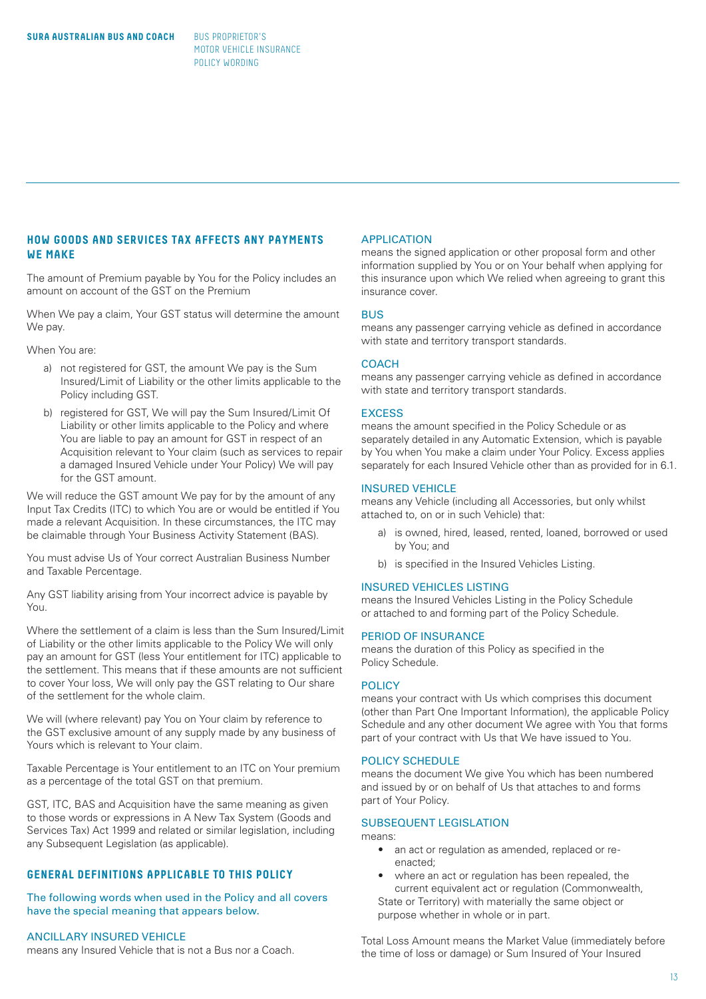# **HOW GOODS AND SERVICES TAX AFFECTS ANY PAYMENTS WE MAKE**

The amount of Premium payable by You for the Policy includes an amount on account of the GST on the Premium

When We pay a claim, Your GST status will determine the amount We pay.

When You are:

- a) not registered for GST, the amount We pay is the Sum Insured/Limit of Liability or the other limits applicable to the Policy including GST.
- b) registered for GST, We will pay the Sum Insured/Limit Of Liability or other limits applicable to the Policy and where You are liable to pay an amount for GST in respect of an Acquisition relevant to Your claim (such as services to repair a damaged Insured Vehicle under Your Policy) We will pay for the GST amount.

We will reduce the GST amount We pay for by the amount of any Input Tax Credits (ITC) to which You are or would be entitled if You made a relevant Acquisition. In these circumstances, the ITC may be claimable through Your Business Activity Statement (BAS).

You must advise Us of Your correct Australian Business Number and Taxable Percentage.

Any GST liability arising from Your incorrect advice is payable by You.

Where the settlement of a claim is less than the Sum Insured/Limit of Liability or the other limits applicable to the Policy We will only pay an amount for GST (less Your entitlement for ITC) applicable to the settlement. This means that if these amounts are not sufficient to cover Your loss, We will only pay the GST relating to Our share of the settlement for the whole claim.

We will (where relevant) pay You on Your claim by reference to the GST exclusive amount of any supply made by any business of Yours which is relevant to Your claim.

Taxable Percentage is Your entitlement to an ITC on Your premium as a percentage of the total GST on that premium.

GST, ITC, BAS and Acquisition have the same meaning as given to those words or expressions in A New Tax System (Goods and Services Tax) Act 1999 and related or similar legislation, including any Subsequent Legislation (as applicable).

# **GENERAL DEFINITIONS APPLICABLE TO THIS POLICY**

The following words when used in the Policy and all covers have the special meaning that appears below.

#### ANCILLARY INSURED VEHICLE

means any Insured Vehicle that is not a Bus nor a Coach.

#### APPLICATION

means the signed application or other proposal form and other information supplied by You or on Your behalf when applying for this insurance upon which We relied when agreeing to grant this insurance cover.

#### **BUS**

means any passenger carrying vehicle as defined in accordance with state and territory transport standards.

#### **COACH**

means any passenger carrying vehicle as defined in accordance with state and territory transport standards.

# **EXCESS**

means the amount specified in the Policy Schedule or as separately detailed in any Automatic Extension, which is payable by You when You make a claim under Your Policy. Excess applies separately for each Insured Vehicle other than as provided for in 6.1.

#### INSURED VEHICLE

means any Vehicle (including all Accessories, but only whilst attached to, on or in such Vehicle) that:

- a) is owned, hired, leased, rented, loaned, borrowed or used by You; and
- b) is specified in the Insured Vehicles Listing.

#### INSURED VEHICLES LISTING

means the Insured Vehicles Listing in the Policy Schedule or attached to and forming part of the Policy Schedule.

#### PERIOD OF INSURANCE

means the duration of this Policy as specified in the Policy Schedule.

#### **POLICY**

means your contract with Us which comprises this document (other than Part One Important Information), the applicable Policy Schedule and any other document We agree with You that forms part of your contract with Us that We have issued to You.

#### POLICY SCHEDULE

means the document We give You which has been numbered and issued by or on behalf of Us that attaches to and forms part of Your Policy.

# SUBSEQUENT LEGISLATION

means:

- an act or regulation as amended, replaced or re enacted;
- where an act or regulation has been repealed, the current equivalent act or regulation (Commonwealth, State or Territory) with materially the same object or purpose whether in whole or in part.

Total Loss Amount means the Market Value (immediately before the time of loss or damage) or Sum Insured of Your Insured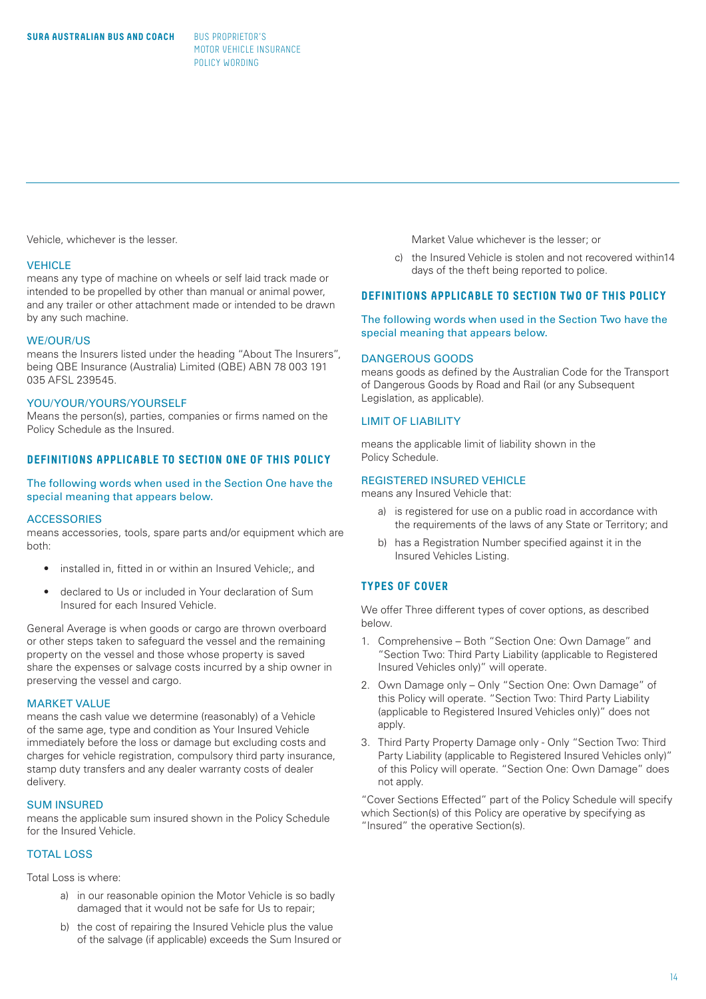Vehicle, whichever is the lesser.

#### **VEHICLE**

means any type of machine on wheels or self laid track made or intended to be propelled by other than manual or animal power, and any trailer or other attachment made or intended to be drawn by any such machine.

#### WE/OUR/US

means the Insurers listed under the heading "About The Insurers", being QBE Insurance (Australia) Limited (QBE) ABN 78 003 191 035 AFSL 239545.

#### YOU/YOUR/YOURS/YOURSELF

Means the person(s), parties, companies or firms named on the Policy Schedule as the Insured.

# **DEFINITIONS APPLICABLE TO SECTION ONE OF THIS POLICY**

The following words when used in the Section One have the special meaning that appears below.

#### **ACCESSORIES**

means accessories, tools, spare parts and/or equipment which are both:

- installed in, fitted in or within an Insured Vehicle;, and
- declared to Us or included in Your declaration of Sum Insured for each Insured Vehicle.

General Average is when goods or cargo are thrown overboard or other steps taken to safeguard the vessel and the remaining property on the vessel and those whose property is saved share the expenses or salvage costs incurred by a ship owner in preserving the vessel and cargo.

#### MARKET VALUE

means the cash value we determine (reasonably) of a Vehicle of the same age, type and condition as Your Insured Vehicle immediately before the loss or damage but excluding costs and charges for vehicle registration, compulsory third party insurance, stamp duty transfers and any dealer warranty costs of dealer delivery.

# SUM INSURED

means the applicable sum insured shown in the Policy Schedule for the Insured Vehicle.

# TOTAL LOSS

Total Loss is where:

- a) in our reasonable opinion the Motor Vehicle is so badly damaged that it would not be safe for Us to repair;
- b) the cost of repairing the Insured Vehicle plus the value of the salvage (if applicable) exceeds the Sum Insured or

Market Value whichever is the lesser; or

 c) the Insured Vehicle is stolen and not recovered within14 days of the theft being reported to police.

# **DEFINITIONS APPLICABLE TO SECTION TWO OF THIS POLICY**

The following words when used in the Section Two have the special meaning that appears below.

#### DANGEROUS GOODS

means goods as defined by the Australian Code for the Transport of Dangerous Goods by Road and Rail (or any Subsequent Legislation, as applicable).

# LIMIT OF LIABILITY

means the applicable limit of liability shown in the Policy Schedule.

### REGISTERED INSURED VEHICLE

means any Insured Vehicle that:

- a) is registered for use on a public road in accordance with the requirements of the laws of any State or Territory; and
- b) has a Registration Number specified against it in the Insured Vehicles Listing.

# **TYPES OF COVER**

We offer Three different types of cover options, as described below.

- 1. Comprehensive Both "Section One: Own Damage" and "Section Two: Third Party Liability (applicable to Registered Insured Vehicles only)" will operate.
- 2. Own Damage only Only "Section One: Own Damage" of this Policy will operate. "Section Two: Third Party Liability (applicable to Registered Insured Vehicles only)" does not apply.
- 3. Third Party Property Damage only Only "Section Two: Third Party Liability (applicable to Registered Insured Vehicles only)" of this Policy will operate. "Section One: Own Damage" does not apply.

"Cover Sections Effected" part of the Policy Schedule will specify which Section(s) of this Policy are operative by specifying as "Insured" the operative Section(s).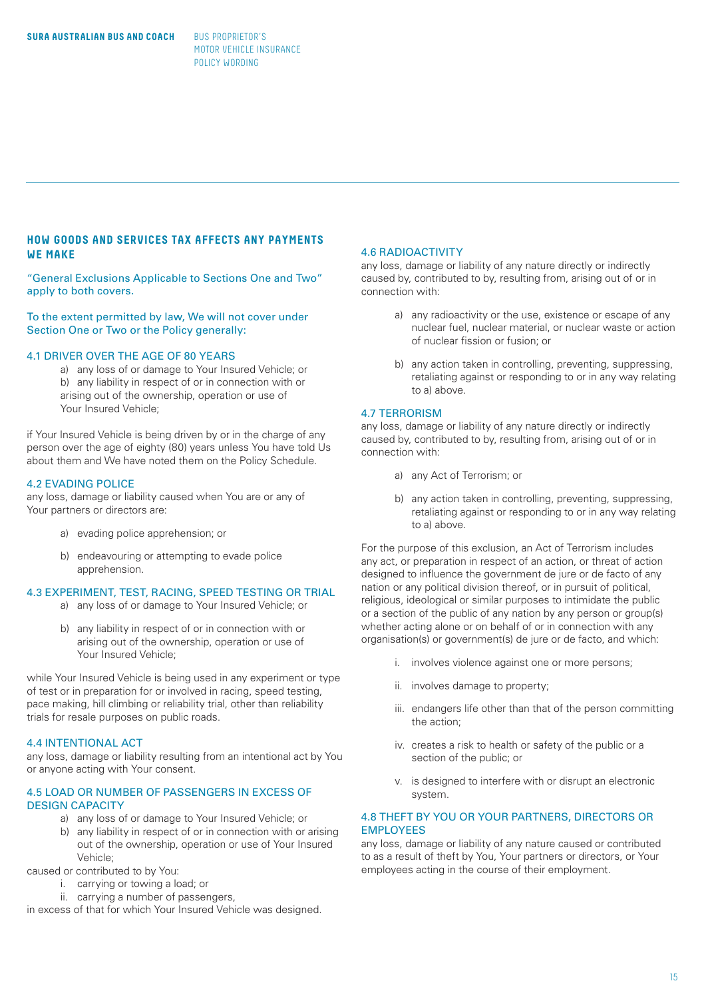# **HOW GOODS AND SERVICES TAX AFFECTS ANY PAYMENTS WE MAKE**

"General Exclusions Applicable to Sections One and Two" apply to both covers.

To the extent permitted by law, We will not cover under Section One or Two or the Policy generally:

# 4.1 DRIVER OVER THE AGE OF 80 YEARS

 a) any loss of or damage to Your Insured Vehicle; or b) any liability in respect of or in connection with or arising out of the ownership, operation or use of Your Insured Vehicle:

if Your Insured Vehicle is being driven by or in the charge of any person over the age of eighty (80) years unless You have told Us about them and We have noted them on the Policy Schedule.

#### 4.2 EVADING POLICE

any loss, damage or liability caused when You are or any of Your partners or directors are:

- a) evading police apprehension; or
- b) endeavouring or attempting to evade police apprehension.

# 4.3 EXPERIMENT, TEST, RACING, SPEED TESTING OR TRIAL

- a) any loss of or damage to Your Insured Vehicle; or
- b) any liability in respect of or in connection with or arising out of the ownership, operation or use of Your Insured Vehicle;

while Your Insured Vehicle is being used in any experiment or type of test or in preparation for or involved in racing, speed testing, pace making, hill climbing or reliability trial, other than reliability trials for resale purposes on public roads.

#### 4.4 INTENTIONAL ACT

any loss, damage or liability resulting from an intentional act by You or anyone acting with Your consent.

#### 4.5 LOAD OR NUMBER OF PASSENGERS IN EXCESS OF DESIGN CAPACITY

- a) any loss of or damage to Your Insured Vehicle; or
	- b) any liability in respect of or in connection with or arising out of the ownership, operation or use of Your Insured Vehicle;

caused or contributed to by You:

- i. carrying or towing a load; or
- ii. carrying a number of passengers,

in excess of that for which Your Insured Vehicle was designed.

# 4.6 RADIOACTIVITY

any loss, damage or liability of any nature directly or indirectly caused by, contributed to by, resulting from, arising out of or in connection with:

- a) any radioactivity or the use, existence or escape of any nuclear fuel, nuclear material, or nuclear waste or action of nuclear fission or fusion; or
- b) any action taken in controlling, preventing, suppressing, retaliating against or responding to or in any way relating to a) above.

# 4.7 TERRORISM

any loss, damage or liability of any nature directly or indirectly caused by, contributed to by, resulting from, arising out of or in connection with:

- a) any Act of Terrorism; or
- b) any action taken in controlling, preventing, suppressing, retaliating against or responding to or in any way relating to a) above.

For the purpose of this exclusion, an Act of Terrorism includes any act, or preparation in respect of an action, or threat of action designed to influence the government de jure or de facto of any nation or any political division thereof, or in pursuit of political, religious, ideological or similar purposes to intimidate the public or a section of the public of any nation by any person or group(s) whether acting alone or on behalf of or in connection with any organisation(s) or government(s) de jure or de facto, and which:

- i. involves violence against one or more persons;
- ii. involves damage to property;
- iii. endangers life other than that of the person committing the action;
- iv. creates a risk to health or safety of the public or a section of the public; or
- v. is designed to interfere with or disrupt an electronic system.

# 4.8 THEFT BY YOU OR YOUR PARTNERS, DIRECTORS OR **EMPLOYEES**

any loss, damage or liability of any nature caused or contributed to as a result of theft by You, Your partners or directors, or Your employees acting in the course of their employment.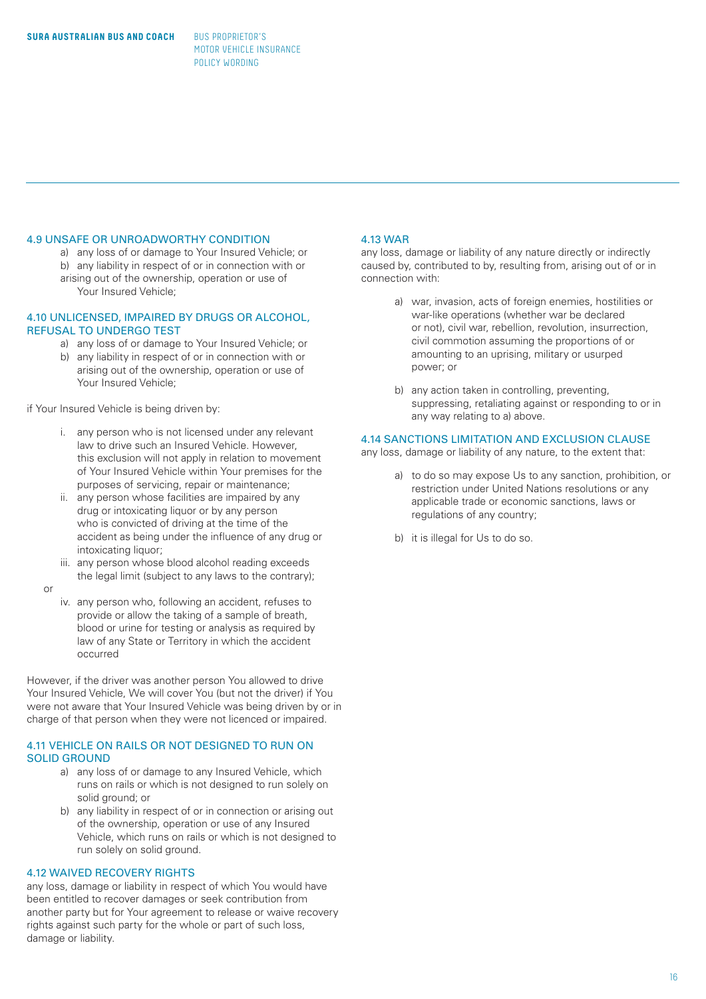# 4.9 UNSAFE OR UNROADWORTHY CONDITION

a) any loss of or damage to Your Insured Vehicle; or

 b) any liability in respect of or in connection with or arising out of the ownership, operation or use of Your Insured Vehicle;

#### 4.10 UNLICENSED, IMPAIRED BY DRUGS OR ALCOHOL, REFUSAL TO UNDERGO TEST

- a) any loss of or damage to Your Insured Vehicle; or
- b) any liability in respect of or in connection with or arising out of the ownership, operation or use of Your Insured Vehicle;

if Your Insured Vehicle is being driven by:

- i. any person who is not licensed under any relevant law to drive such an Insured Vehicle. However, this exclusion will not apply in relation to movement of Your Insured Vehicle within Your premises for the purposes of servicing, repair or maintenance;
- ii. any person whose facilities are impaired by any drug or intoxicating liquor or by any person who is convicted of driving at the time of the accident as being under the influence of any drug or intoxicating liquor;
- iii. any person whose blood alcohol reading exceeds the legal limit (subject to any laws to the contrary);
- or
- iv. any person who, following an accident, refuses to provide or allow the taking of a sample of breath, blood or urine for testing or analysis as required by law of any State or Territory in which the accident occurred

However, if the driver was another person You allowed to drive Your Insured Vehicle, We will cover You (but not the driver) if You were not aware that Your Insured Vehicle was being driven by or in charge of that person when they were not licenced or impaired.

# 4.11 VEHICLE ON RAILS OR NOT DESIGNED TO RUN ON SOLID GROUND

- a) any loss of or damage to any Insured Vehicle, which runs on rails or which is not designed to run solely on solid ground; or
- b) any liability in respect of or in connection or arising out of the ownership, operation or use of any Insured Vehicle, which runs on rails or which is not designed to run solely on solid ground.

# 4.12 WAIVED RECOVERY RIGHTS

any loss, damage or liability in respect of which You would have been entitled to recover damages or seek contribution from another party but for Your agreement to release or waive recovery rights against such party for the whole or part of such loss, damage or liability.

#### 4.13 WAR

any loss, damage or liability of any nature directly or indirectly caused by, contributed to by, resulting from, arising out of or in connection with:

- a) war, invasion, acts of foreign enemies, hostilities or war-like operations (whether war be declared or not), civil war, rebellion, revolution, insurrection, civil commotion assuming the proportions of or amounting to an uprising, military or usurped power; or
- b) any action taken in controlling, preventing, suppressing, retaliating against or responding to or in any way relating to a) above.

# 4.14 SANCTIONS LIMITATION AND EXCLUSION CLAUSE

any loss, damage or liability of any nature, to the extent that:

- a) to do so may expose Us to any sanction, prohibition, or restriction under United Nations resolutions or any applicable trade or economic sanctions, laws or regulations of any country;
- b) it is illegal for Us to do so.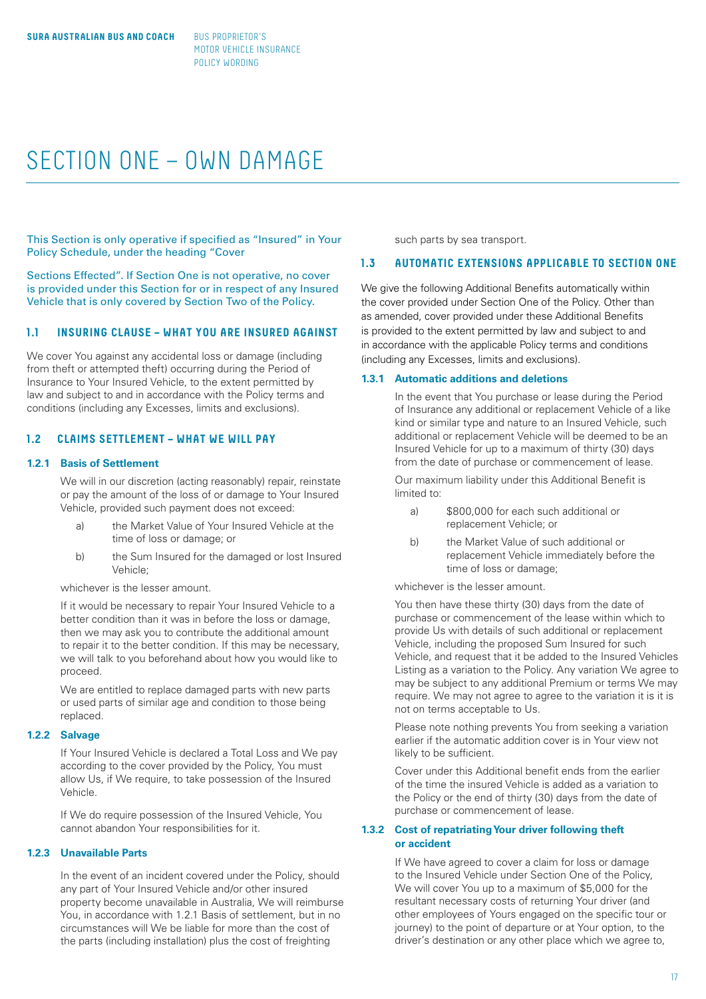# SECTION ONE – OWN DAMAGE

This Section is only operative if specified as "Insured" in Your Policy Schedule, under the heading "Cover

Sections Effected". If Section One is not operative, no cover is provided under this Section for or in respect of any Insured Vehicle that is only covered by Section Two of the Policy.

# **1.1 INSURING CLAUSE – WHAT YOU ARE INSURED AGAINST**

We cover You against any accidental loss or damage (including from theft or attempted theft) occurring during the Period of Insurance to Your Insured Vehicle, to the extent permitted by law and subject to and in accordance with the Policy terms and conditions (including any Excesses, limits and exclusions).

# **1.2 CLAIMS SETTLEMENT – WHAT WE WILL PAY**

# **1.2.1 Basis of Settlement**

We will in our discretion (acting reasonably) repair, reinstate or pay the amount of the loss of or damage to Your Insured Vehicle, provided such payment does not exceed:

- a) the Market Value of Your Insured Vehicle at the time of loss or damage; or
- b) the Sum Insured for the damaged or lost Insured Vehicle;

whichever is the lesser amount.

If it would be necessary to repair Your Insured Vehicle to a better condition than it was in before the loss or damage, then we may ask you to contribute the additional amount to repair it to the better condition. If this may be necessary, we will talk to you beforehand about how you would like to proceed.

We are entitled to replace damaged parts with new parts or used parts of similar age and condition to those being replaced.

# **1.2.2 Salvage**

If Your Insured Vehicle is declared a Total Loss and We pay according to the cover provided by the Policy, You must allow Us, if We require, to take possession of the Insured Vehicle.

If We do require possession of the Insured Vehicle, You cannot abandon Your responsibilities for it.

# **1.2.3 Unavailable Parts**

In the event of an incident covered under the Policy, should any part of Your Insured Vehicle and/or other insured property become unavailable in Australia, We will reimburse You, in accordance with 1.2.1 Basis of settlement, but in no circumstances will We be liable for more than the cost of the parts (including installation) plus the cost of freighting

such parts by sea transport.

#### **1.3 AUTOMATIC EXTENSIONS APPLICABLE TO SECTION ONE**

We give the following Additional Benefits automatically within the cover provided under Section One of the Policy. Other than as amended, cover provided under these Additional Benefits is provided to the extent permitted by law and subject to and in accordance with the applicable Policy terms and conditions (including any Excesses, limits and exclusions).

#### **1.3.1 Automatic additions and deletions**

In the event that You purchase or lease during the Period of Insurance any additional or replacement Vehicle of a like kind or similar type and nature to an Insured Vehicle, such additional or replacement Vehicle will be deemed to be an Insured Vehicle for up to a maximum of thirty (30) days from the date of purchase or commencement of lease.

Our maximum liability under this Additional Benefit is limited to:

- a) \$800,000 for each such additional or replacement Vehicle; or
- b) the Market Value of such additional or replacement Vehicle immediately before the time of loss or damage;

whichever is the lesser amount.

You then have these thirty (30) days from the date of purchase or commencement of the lease within which to provide Us with details of such additional or replacement Vehicle, including the proposed Sum Insured for such Vehicle, and request that it be added to the Insured Vehicles Listing as a variation to the Policy. Any variation We agree to may be subject to any additional Premium or terms We may require. We may not agree to agree to the variation it is it is not on terms acceptable to Us.

Please note nothing prevents You from seeking a variation earlier if the automatic addition cover is in Your view not likely to be sufficient.

Cover under this Additional benefit ends from the earlier of the time the insured Vehicle is added as a variation to the Policy or the end of thirty (30) days from the date of purchase or commencement of lease.

# **1.3.2 Cost of repatriating Your driver following theft or accident**

If We have agreed to cover a claim for loss or damage to the Insured Vehicle under Section One of the Policy, We will cover You up to a maximum of \$5,000 for the resultant necessary costs of returning Your driver (and other employees of Yours engaged on the specific tour or journey) to the point of departure or at Your option, to the driver's destination or any other place which we agree to,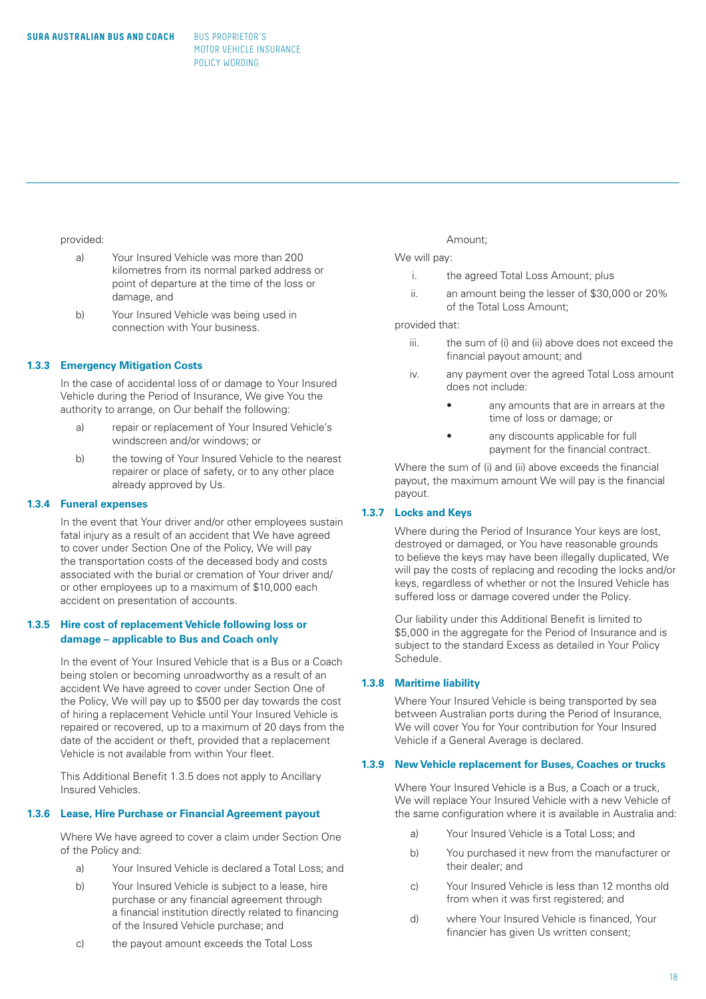#### provided:

- a) Your Insured Vehicle was more than 200 kilometres from its normal parked address or point of departure at the time of the loss or damage, and
- b) Your Insured Vehicle was being used in connection with Your business.

#### **1.3.3 Emergency Mitigation Costs**

In the case of accidental loss of or damage to Your Insured Vehicle during the Period of Insurance, We give You the authority to arrange, on Our behalf the following:

- a) repair or replacement of Your Insured Vehicle's windscreen and/or windows; or
- b) the towing of Your Insured Vehicle to the nearest repairer or place of safety, or to any other place already approved by Us.

#### **1.3.4 Funeral expenses**

In the event that Your driver and/or other employees sustain fatal injury as a result of an accident that We have agreed to cover under Section One of the Policy, We will pay the transportation costs of the deceased body and costs associated with the burial or cremation of Your driver and/ or other employees up to a maximum of \$10,000 each accident on presentation of accounts.

### **1.3.5 Hire cost of replacement Vehicle following loss or damage – applicable to Bus and Coach only**

In the event of Your Insured Vehicle that is a Bus or a Coach being stolen or becoming unroadworthy as a result of an accident We have agreed to cover under Section One of the Policy, We will pay up to \$500 per day towards the cost of hiring a replacement Vehicle until Your Insured Vehicle is repaired or recovered, up to a maximum of 20 days from the date of the accident or theft, provided that a replacement Vehicle is not available from within Your fleet.

This Additional Benefit 1.3.5 does not apply to Ancillary Insured Vehicles.

# **1.3.6 Lease, Hire Purchase or Financial Agreement payout**

Where We have agreed to cover a claim under Section One of the Policy and:

- a) Your Insured Vehicle is declared a Total Loss; and
- b) Your Insured Vehicle is subject to a lease, hire purchase or any financial agreement through a financial institution directly related to financing of the Insured Vehicle purchase; and
- c) the payout amount exceeds the Total Loss

#### Amount;

# We will pay:

- i. the agreed Total Loss Amount; plus
- ii. an amount being the lesser of \$30,000 or 20% of the Total Loss Amount;

#### provided that:

- iii. the sum of (i) and (ii) above does not exceed the financial payout amount; and
- iv. any payment over the agreed Total Loss amount does not include:
	- any amounts that are in arrears at the time of loss or damage; or
	- any discounts applicable for full payment for the financial contract.

Where the sum of (i) and (ii) above exceeds the financial payout, the maximum amount We will pay is the financial payout.

# **1.3.7 Locks and Keys**

 Where during the Period of Insurance Your keys are lost, destroyed or damaged, or You have reasonable grounds to believe the keys may have been illegally duplicated, We will pay the costs of replacing and recoding the locks and/or keys, regardless of whether or not the Insured Vehicle has suffered loss or damage covered under the Policy.

 Our liability under this Additional Benefit is limited to \$5,000 in the aggregate for the Period of Insurance and is subject to the standard Excess as detailed in Your Policy Schedule.

# **1.3.8 Maritime liability**

 Where Your Insured Vehicle is being transported by sea between Australian ports during the Period of Insurance, We will cover You for Your contribution for Your Insured Vehicle if a General Average is declared.

#### **1.3.9 New Vehicle replacement for Buses, Coaches or trucks**

Where Your Insured Vehicle is a Bus, a Coach or a truck, We will replace Your Insured Vehicle with a new Vehicle of the same configuration where it is available in Australia and:

- a) Your Insured Vehicle is a Total Loss; and
- b) You purchased it new from the manufacturer or their dealer; and
- c) Your Insured Vehicle is less than 12 months old from when it was first registered; and
- d) where Your Insured Vehicle is financed, Your financier has given Us written consent;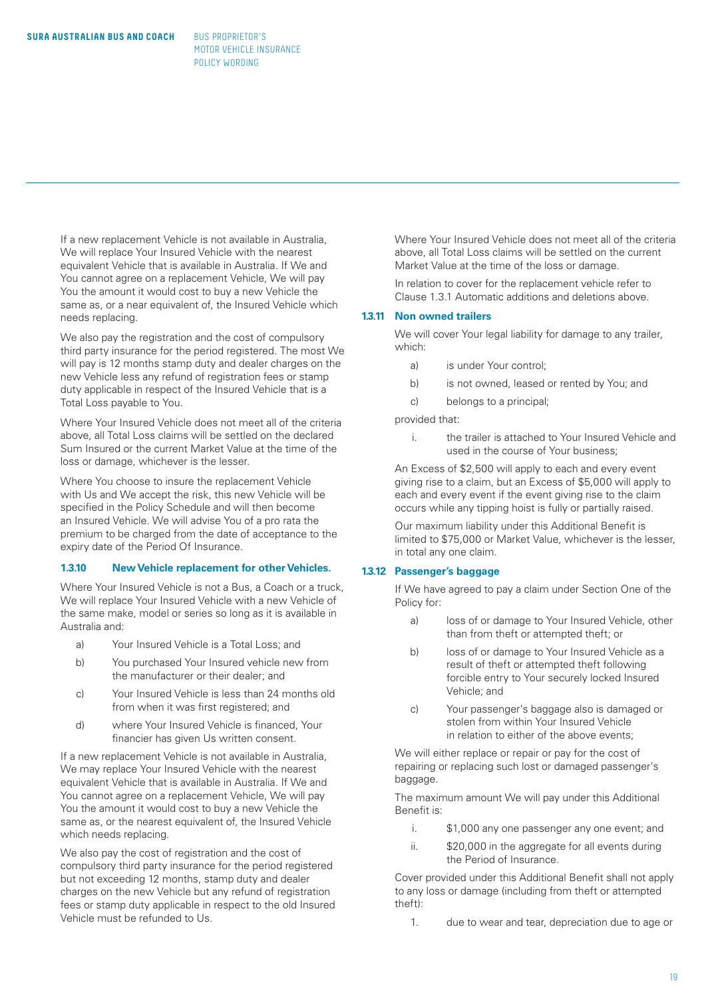If a new replacement Vehicle is not available in Australia, We will replace Your Insured Vehicle with the nearest equivalent Vehicle that is available in Australia. If We and You cannot agree on a replacement Vehicle, We will pay You the amount it would cost to buy a new Vehicle the same as, or a near equivalent of, the Insured Vehicle which needs replacing.

We also pay the registration and the cost of compulsory third party insurance for the period registered. The most We will pay is 12 months stamp duty and dealer charges on the new Vehicle less any refund of registration fees or stamp duty applicable in respect of the Insured Vehicle that is a Total Loss payable to You.

Where Your Insured Vehicle does not meet all of the criteria above, all Total Loss claims will be settled on the declared Sum Insured or the current Market Value at the time of the loss or damage, whichever is the lesser.

Where You choose to insure the replacement Vehicle with Us and We accept the risk, this new Vehicle will be specified in the Policy Schedule and will then become an Insured Vehicle. We will advise You of a pro rata the premium to be charged from the date of acceptance to the expiry date of the Period Of Insurance.

# **1.3.10 New Vehicle replacement for other Vehicles.**

Where Your Insured Vehicle is not a Bus, a Coach or a truck, We will replace Your Insured Vehicle with a new Vehicle of the same make, model or series so long as it is available in Australia and:

- a) Your Insured Vehicle is a Total Loss; and
- b) You purchased Your Insured vehicle new from the manufacturer or their dealer; and
- c) Your Insured Vehicle is less than 24 months old from when it was first registered; and
- d) where Your Insured Vehicle is financed, Your financier has given Us written consent.

If a new replacement Vehicle is not available in Australia, We may replace Your Insured Vehicle with the nearest equivalent Vehicle that is available in Australia. If We and You cannot agree on a replacement Vehicle, We will pay You the amount it would cost to buy a new Vehicle the same as, or the nearest equivalent of, the Insured Vehicle which needs replacing.

We also pay the cost of registration and the cost of compulsory third party insurance for the period registered but not exceeding 12 months, stamp duty and dealer charges on the new Vehicle but any refund of registration fees or stamp duty applicable in respect to the old Insured Vehicle must be refunded to Us.

Where Your Insured Vehicle does not meet all of the criteria above, all Total Loss claims will be settled on the current Market Value at the time of the loss or damage.

In relation to cover for the replacement vehicle refer to Clause 1.3.1 Automatic additions and deletions above.

#### **1.3.11 Non owned trailers**

We will cover Your legal liability for damage to any trailer, which:

- a) is under Your control;
- b) is not owned, leased or rented by You; and
- c) belongs to a principal;

provided that:

 i. the trailer is attached to Your Insured Vehicle and used in the course of Your business;

An Excess of \$2,500 will apply to each and every event giving rise to a claim, but an Excess of \$5,000 will apply to each and every event if the event giving rise to the claim occurs while any tipping hoist is fully or partially raised.

Our maximum liability under this Additional Benefit is limited to \$75,000 or Market Value, whichever is the lesser, in total any one claim.

#### **1.3.12 Passenger's baggage**

If We have agreed to pay a claim under Section One of the Policy for:

- a) loss of or damage to Your Insured Vehicle, other than from theft or attempted theft; or
- b) loss of or damage to Your Insured Vehicle as a result of theft or attempted theft following forcible entry to Your securely locked Insured Vehicle; and
- c) Your passenger's baggage also is damaged or stolen from within Your Insured Vehicle in relation to either of the above events;

We will either replace or repair or pay for the cost of repairing or replacing such lost or damaged passenger's baggage.

The maximum amount We will pay under this Additional Benefit is:

- i. \$1,000 any one passenger any one event; and
- ii.  $$20,000$  in the aggregate for all events during the Period of Insurance.

Cover provided under this Additional Benefit shall not apply to any loss or damage (including from theft or attempted theft):

1. due to wear and tear, depreciation due to age or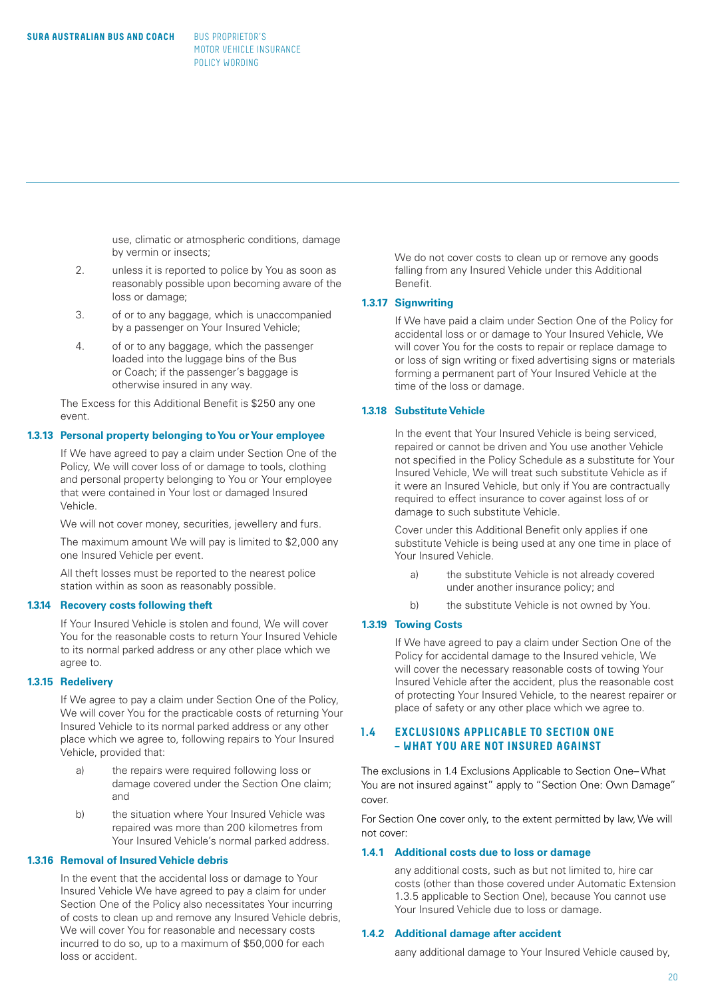use, climatic or atmospheric conditions, damage by vermin or insects;

- 2. unless it is reported to police by You as soon as reasonably possible upon becoming aware of the loss or damage;
- 3. of or to any baggage, which is unaccompanied by a passenger on Your Insured Vehicle;
- 4. of or to any baggage, which the passenger loaded into the luggage bins of the Bus or Coach; if the passenger's baggage is otherwise insured in any way.

The Excess for this Additional Benefit is \$250 any one event.

#### **1.3.13 Personal property belonging to You or Your employee**

If We have agreed to pay a claim under Section One of the Policy, We will cover loss of or damage to tools, clothing and personal property belonging to You or Your employee that were contained in Your lost or damaged Insured Vehicle.

We will not cover money, securities, jewellery and furs.

The maximum amount We will pay is limited to \$2,000 any one Insured Vehicle per event.

All theft losses must be reported to the nearest police station within as soon as reasonably possible.

#### **1.3.14 Recovery costs following theft**

If Your Insured Vehicle is stolen and found, We will cover You for the reasonable costs to return Your Insured Vehicle to its normal parked address or any other place which we agree to.

#### **1.3.15 Redelivery**

If We agree to pay a claim under Section One of the Policy, We will cover You for the practicable costs of returning Your Insured Vehicle to its normal parked address or any other place which we agree to, following repairs to Your Insured Vehicle, provided that:

- a) the repairs were required following loss or damage covered under the Section One claim; and
- b) the situation where Your Insured Vehicle was repaired was more than 200 kilometres from Your Insured Vehicle's normal parked address.

#### **1.3.16 Removal of Insured Vehicle debris**

In the event that the accidental loss or damage to Your Insured Vehicle We have agreed to pay a claim for under Section One of the Policy also necessitates Your incurring of costs to clean up and remove any Insured Vehicle debris, We will cover You for reasonable and necessary costs incurred to do so, up to a maximum of \$50,000 for each loss or accident.

We do not cover costs to clean up or remove any goods falling from any Insured Vehicle under this Additional Benefit.

#### **1.3.17 Signwriting**

If We have paid a claim under Section One of the Policy for accidental loss or or damage to Your Insured Vehicle, We will cover You for the costs to repair or replace damage to or loss of sign writing or fixed advertising signs or materials forming a permanent part of Your Insured Vehicle at the time of the loss or damage.

# **1.3.18 Substitute Vehicle**

In the event that Your Insured Vehicle is being serviced, repaired or cannot be driven and You use another Vehicle not specified in the Policy Schedule as a substitute for Your Insured Vehicle, We will treat such substitute Vehicle as if it were an Insured Vehicle, but only if You are contractually required to effect insurance to cover against loss of or damage to such substitute Vehicle.

Cover under this Additional Benefit only applies if one substitute Vehicle is being used at any one time in place of Your Insured Vehicle.

- a) the substitute Vehicle is not already covered under another insurance policy; and
- b) the substitute Vehicle is not owned by You.

#### **1.3.19 Towing Costs**

If We have agreed to pay a claim under Section One of the Policy for accidental damage to the Insured vehicle, We will cover the necessary reasonable costs of towing Your Insured Vehicle after the accident, plus the reasonable cost of protecting Your Insured Vehicle, to the nearest repairer or place of safety or any other place which we agree to.

# **1.4 EXCLUSIONS APPLICABLE TO SECTION ONE – WHAT YOU ARE NOT INSURED AGAINST**

The exclusions in 1.4 Exclusions Applicable to Section One– What You are not insured against" apply to "Section One: Own Damage" cover.

For Section One cover only, to the extent permitted by law, We will not cover:

#### **1.4.1 Additional costs due to loss or damage**

any additional costs, such as but not limited to, hire car costs (other than those covered under Automatic Extension 1.3.5 applicable to Section One), because You cannot use Your Insured Vehicle due to loss or damage.

# **1.4.2 Additional damage after accident**

aany additional damage to Your Insured Vehicle caused by,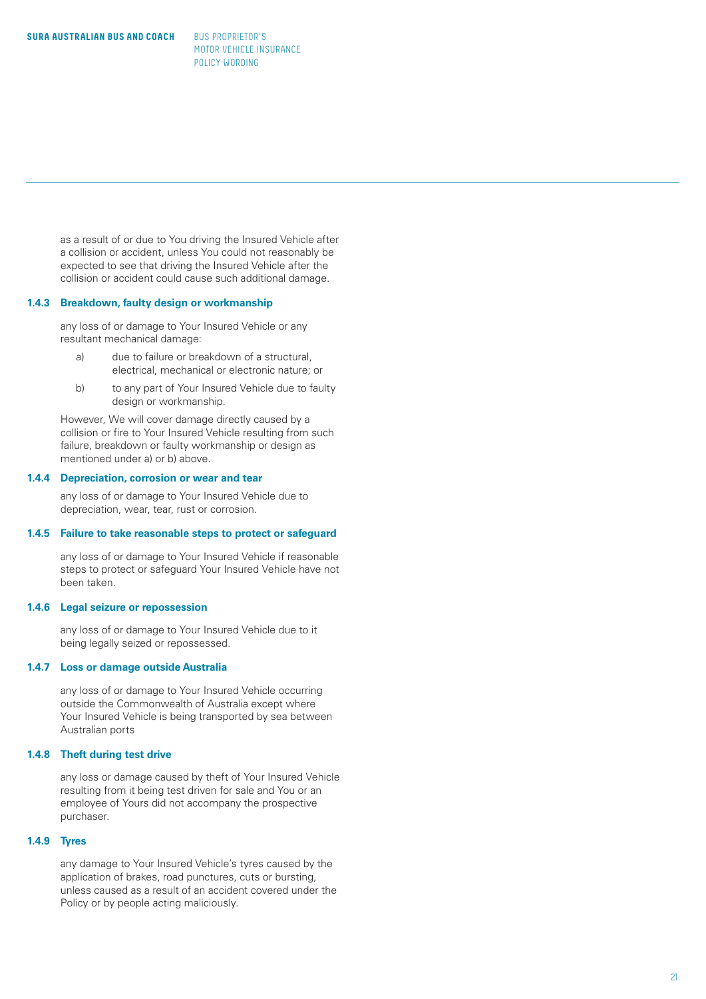as a result of or due to You driving the Insured Vehicle after a collision or accident, unless You could not reasonably be expected to see that driving the Insured Vehicle after the collision or accident could cause such additional damage.

#### **1.4.3 Breakdown, faulty design or workmanship**

any loss of or damage to Your Insured Vehicle or any resultant mechanical damage:

- a) due to failure or breakdown of a structural, electrical, mechanical or electronic nature; or
- b) to any part of Your Insured Vehicle due to faulty design or workmanship.

However, We will cover damage directly caused by a collision or fire to Your Insured Vehicle resulting from such failure, breakdown or faulty workmanship or design as mentioned under a) or b) above.

#### **1.4.4 Depreciation, corrosion or wear and tear**

any loss of or damage to Your Insured Vehicle due to depreciation, wear, tear, rust or corrosion.

#### **1.4.5 Failure to take reasonable steps to protect or safeguard**

any loss of or damage to Your Insured Vehicle if reasonable steps to protect or safeguard Your Insured Vehicle have not been taken.

# **1.4.6 Legal seizure or repossession**

any loss of or damage to Your Insured Vehicle due to it being legally seized or repossessed.

#### **1.4.7 Loss or damage outside Australia**

any loss of or damage to Your Insured Vehicle occurring outside the Commonwealth of Australia except where Your Insured Vehicle is being transported by sea between Australian ports

#### **1.4.8 Theft during test drive**

any loss or damage caused by theft of Your Insured Vehicle resulting from it being test driven for sale and You or an employee of Yours did not accompany the prospective purchaser.

# **1.4.9 Tyres**

any damage to Your Insured Vehicle's tyres caused by the application of brakes, road punctures, cuts or bursting, unless caused as a result of an accident covered under the Policy or by people acting maliciously.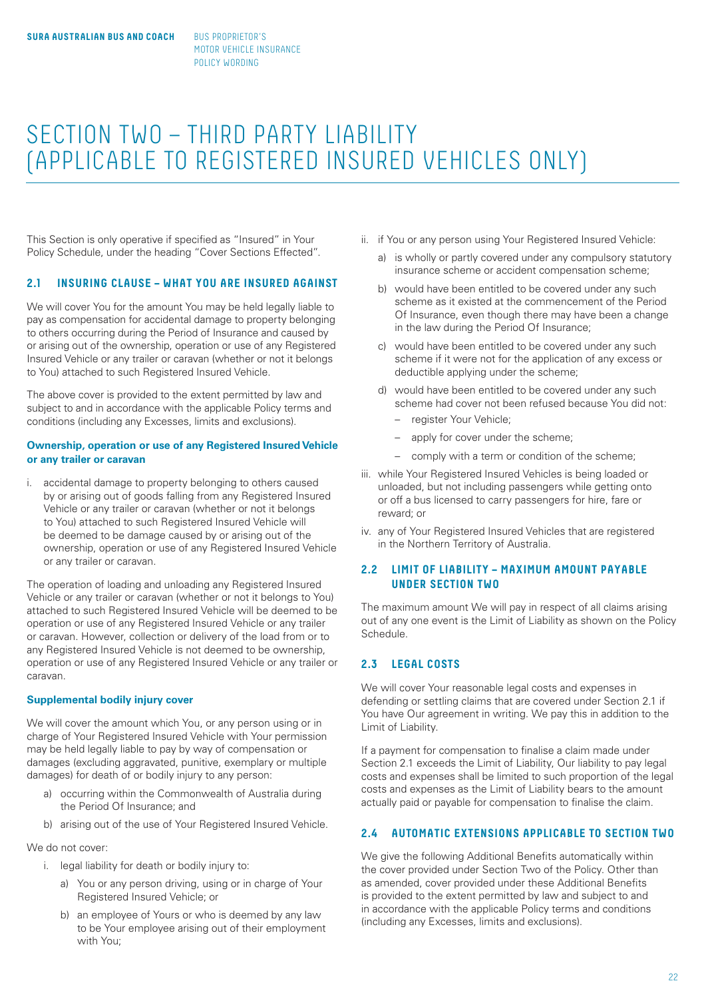# SECTION TWO – THIRD PARTY LIABILITY (APPLICABLE TO REGISTERED INSURED VEHICLES ONLY)

This Section is only operative if specified as "Insured" in Your Policy Schedule, under the heading "Cover Sections Effected".

# **2.1 INSURING CLAUSE – WHAT YOU ARE INSURED AGAINST**

We will cover You for the amount You may be held legally liable to pay as compensation for accidental damage to property belonging to others occurring during the Period of Insurance and caused by or arising out of the ownership, operation or use of any Registered Insured Vehicle or any trailer or caravan (whether or not it belongs to You) attached to such Registered Insured Vehicle.

The above cover is provided to the extent permitted by law and subject to and in accordance with the applicable Policy terms and conditions (including any Excesses, limits and exclusions).

# **Ownership, operation or use of any Registered Insured Vehicle or any trailer or caravan**

i. accidental damage to property belonging to others caused by or arising out of goods falling from any Registered Insured Vehicle or any trailer or caravan (whether or not it belongs to You) attached to such Registered Insured Vehicle will be deemed to be damage caused by or arising out of the ownership, operation or use of any Registered Insured Vehicle or any trailer or caravan.

The operation of loading and unloading any Registered Insured Vehicle or any trailer or caravan (whether or not it belongs to You) attached to such Registered Insured Vehicle will be deemed to be operation or use of any Registered Insured Vehicle or any trailer or caravan. However, collection or delivery of the load from or to any Registered Insured Vehicle is not deemed to be ownership, operation or use of any Registered Insured Vehicle or any trailer or caravan.

#### **Supplemental bodily injury cover**

We will cover the amount which You, or any person using or in charge of Your Registered Insured Vehicle with Your permission may be held legally liable to pay by way of compensation or damages (excluding aggravated, punitive, exemplary or multiple damages) for death of or bodily injury to any person:

- a) occurring within the Commonwealth of Australia during the Period Of Insurance; and
- b) arising out of the use of Your Registered Insured Vehicle.

We do not cover:

- i. legal liability for death or bodily injury to:
	- a) You or any person driving, using or in charge of Your Registered Insured Vehicle; or
	- b) an employee of Yours or who is deemed by any law to be Your employee arising out of their employment with You;
- ii. if You or any person using Your Registered Insured Vehicle:
	- a) is wholly or partly covered under any compulsory statutory insurance scheme or accident compensation scheme;
	- b) would have been entitled to be covered under any such scheme as it existed at the commencement of the Period Of Insurance, even though there may have been a change in the law during the Period Of Insurance;
	- c) would have been entitled to be covered under any such scheme if it were not for the application of any excess or deductible applying under the scheme;
	- d) would have been entitled to be covered under any such scheme had cover not been refused because You did not:
		- register Your Vehicle;
		- apply for cover under the scheme;
		- comply with a term or condition of the scheme;
- iii. while Your Registered Insured Vehicles is being loaded or unloaded, but not including passengers while getting onto or off a bus licensed to carry passengers for hire, fare or reward; or
- iv. any of Your Registered Insured Vehicles that are registered in the Northern Territory of Australia.

# **2.2 LIMIT OF LIABILITY – MAXIMUM AMOUNT PAYABLE UNDER SECTION TWO**

The maximum amount We will pay in respect of all claims arising out of any one event is the Limit of Liability as shown on the Policy Schedule.

# **2.3 LEGAL COSTS**

We will cover Your reasonable legal costs and expenses in defending or settling claims that are covered under Section 2.1 if You have Our agreement in writing. We pay this in addition to the Limit of Liability.

If a payment for compensation to finalise a claim made under Section 2.1 exceeds the Limit of Liability, Our liability to pay legal costs and expenses shall be limited to such proportion of the legal costs and expenses as the Limit of Liability bears to the amount actually paid or payable for compensation to finalise the claim.

# **2.4 AUTOMATIC EXTENSIONS APPLICABLE TO SECTION TWO**

We give the following Additional Benefits automatically within the cover provided under Section Two of the Policy. Other than as amended, cover provided under these Additional Benefits is provided to the extent permitted by law and subject to and in accordance with the applicable Policy terms and conditions (including any Excesses, limits and exclusions).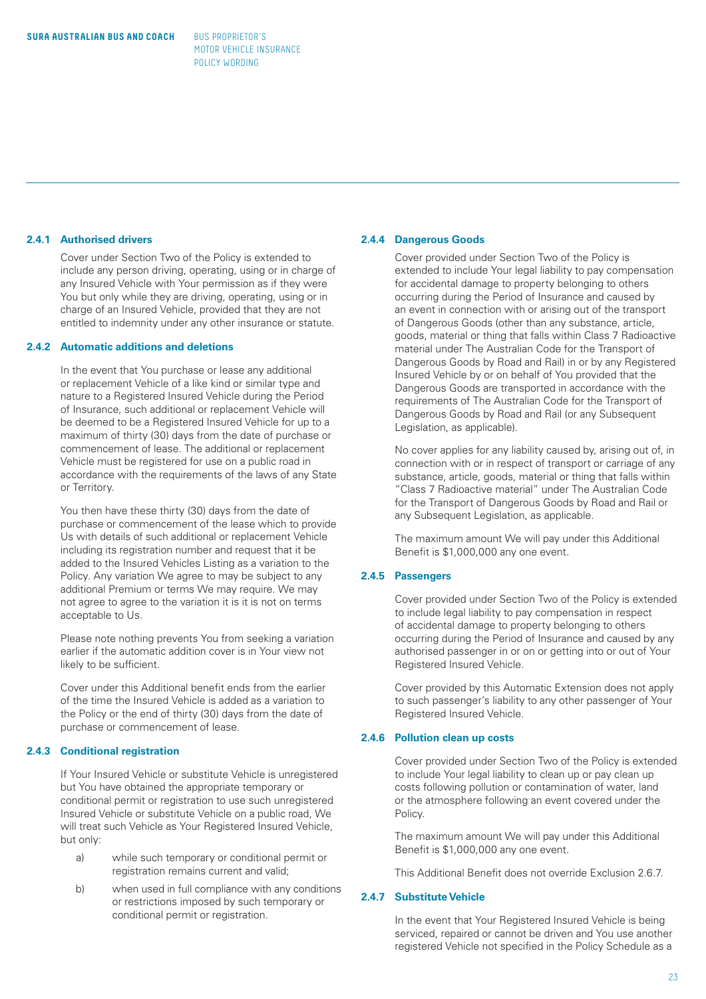# **2.4.1 Authorised drivers**

Cover under Section Two of the Policy is extended to include any person driving, operating, using or in charge of any Insured Vehicle with Your permission as if they were You but only while they are driving, operating, using or in charge of an Insured Vehicle, provided that they are not entitled to indemnity under any other insurance or statute.

# **2.4.2 Automatic additions and deletions**

In the event that You purchase or lease any additional or replacement Vehicle of a like kind or similar type and nature to a Registered Insured Vehicle during the Period of Insurance, such additional or replacement Vehicle will be deemed to be a Registered Insured Vehicle for up to a maximum of thirty (30) days from the date of purchase or commencement of lease. The additional or replacement Vehicle must be registered for use on a public road in accordance with the requirements of the laws of any State or Territory.

You then have these thirty (30) days from the date of purchase or commencement of the lease which to provide Us with details of such additional or replacement Vehicle including its registration number and request that it be added to the Insured Vehicles Listing as a variation to the Policy. Any variation We agree to may be subject to any additional Premium or terms We may require. We may not agree to agree to the variation it is it is not on terms acceptable to Us.

Please note nothing prevents You from seeking a variation earlier if the automatic addition cover is in Your view not likely to be sufficient.

Cover under this Additional benefit ends from the earlier of the time the Insured Vehicle is added as a variation to the Policy or the end of thirty (30) days from the date of purchase or commencement of lease.

# **2.4.3 Conditional registration**

If Your Insured Vehicle or substitute Vehicle is unregistered but You have obtained the appropriate temporary or conditional permit or registration to use such unregistered Insured Vehicle or substitute Vehicle on a public road, We will treat such Vehicle as Your Registered Insured Vehicle. but only:

- a) while such temporary or conditional permit or registration remains current and valid;
- b) when used in full compliance with any conditions or restrictions imposed by such temporary or conditional permit or registration.

#### **2.4.4 Dangerous Goods**

Cover provided under Section Two of the Policy is extended to include Your legal liability to pay compensation for accidental damage to property belonging to others occurring during the Period of Insurance and caused by an event in connection with or arising out of the transport of Dangerous Goods (other than any substance, article, goods, material or thing that falls within Class 7 Radioactive material under The Australian Code for the Transport of Dangerous Goods by Road and Rail) in or by any Registered Insured Vehicle by or on behalf of You provided that the Dangerous Goods are transported in accordance with the requirements of The Australian Code for the Transport of Dangerous Goods by Road and Rail (or any Subsequent Legislation, as applicable).

No cover applies for any liability caused by, arising out of, in connection with or in respect of transport or carriage of any substance, article, goods, material or thing that falls within "Class 7 Radioactive material" under The Australian Code for the Transport of Dangerous Goods by Road and Rail or any Subsequent Legislation, as applicable.

The maximum amount We will pay under this Additional Benefit is \$1,000,000 any one event.

# **2.4.5 Passengers**

Cover provided under Section Two of the Policy is extended to include legal liability to pay compensation in respect of accidental damage to property belonging to others occurring during the Period of Insurance and caused by any authorised passenger in or on or getting into or out of Your Registered Insured Vehicle.

Cover provided by this Automatic Extension does not apply to such passenger's liability to any other passenger of Your Registered Insured Vehicle.

#### **2.4.6 Pollution clean up costs**

Cover provided under Section Two of the Policy is extended to include Your legal liability to clean up or pay clean up costs following pollution or contamination of water, land or the atmosphere following an event covered under the Policy.

The maximum amount We will pay under this Additional Benefit is \$1,000,000 any one event.

This Additional Benefit does not override Exclusion 2.6.7.

# **2.4.7 Substitute Vehicle**

In the event that Your Registered Insured Vehicle is being serviced, repaired or cannot be driven and You use another registered Vehicle not specified in the Policy Schedule as a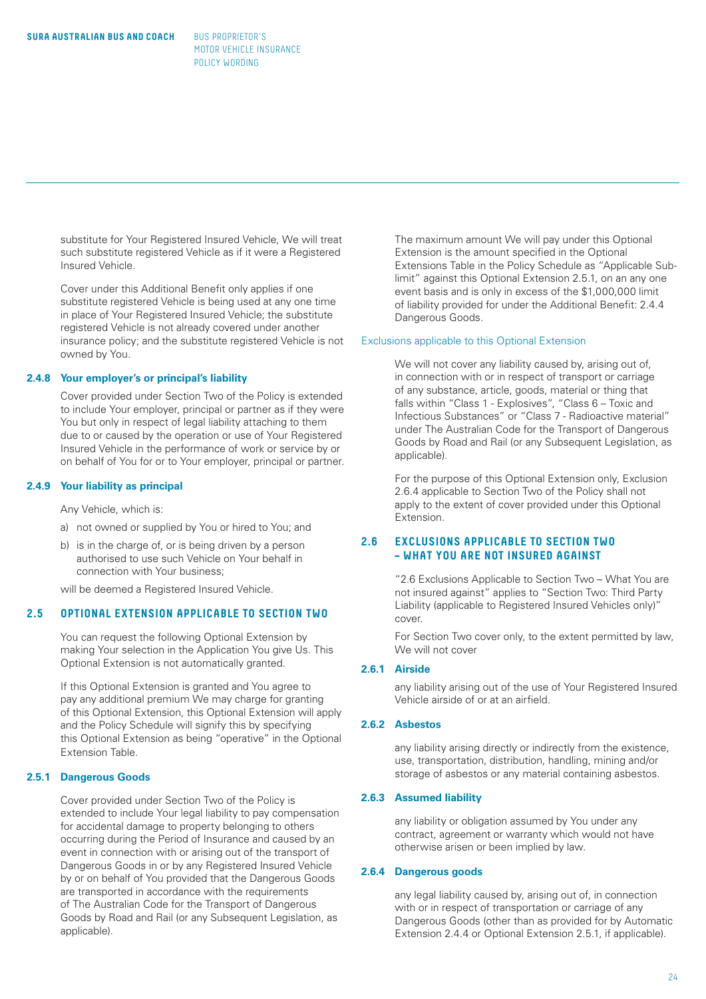substitute for Your Registered Insured Vehicle, We will treat such substitute registered Vehicle as if it were a Registered Insured Vehicle.

Cover under this Additional Benefit only applies if one substitute registered Vehicle is being used at any one time in place of Your Registered Insured Vehicle; the substitute registered Vehicle is not already covered under another insurance policy; and the substitute registered Vehicle is not owned by You.

#### **2.4.8 Your employer's or principal's liability**

Cover provided under Section Two of the Policy is extended to include Your employer, principal or partner as if they were You but only in respect of legal liability attaching to them due to or caused by the operation or use of Your Registered Insured Vehicle in the performance of work or service by or on behalf of You for or to Your employer, principal or partner.

# **2.4.9 Your liability as principal**

Any Vehicle, which is:

- a) not owned or supplied by You or hired to You; and
- b) is in the charge of, or is being driven by a person authorised to use such Vehicle on Your behalf in connection with Your business;

will be deemed a Registered Insured Vehicle.

# **2.5 OPTIONAL EXTENSION APPLICABLE TO SECTION TWO**

 You can request the following Optional Extension by making Your selection in the Application You give Us. This Optional Extension is not automatically granted.

 If this Optional Extension is granted and You agree to pay any additional premium We may charge for granting of this Optional Extension, this Optional Extension will apply and the Policy Schedule will signify this by specifying this Optional Extension as being "operative" in the Optional Extension Table.

# **2.5.1 Dangerous Goods**

Cover provided under Section Two of the Policy is extended to include Your legal liability to pay compensation for accidental damage to property belonging to others occurring during the Period of Insurance and caused by an event in connection with or arising out of the transport of Dangerous Goods in or by any Registered Insured Vehicle by or on behalf of You provided that the Dangerous Goods are transported in accordance with the requirements of The Australian Code for the Transport of Dangerous Goods by Road and Rail (or any Subsequent Legislation, as applicable).

The maximum amount We will pay under this Optional Extension is the amount specified in the Optional Extensions Table in the Policy Schedule as "Applicable Sublimit" against this Optional Extension 2.5.1, on an any one event basis and is only in excess of the \$1,000,000 limit of liability provided for under the Additional Benefit: 2.4.4 Dangerous Goods.

#### Exclusions applicable to this Optional Extension

We will not cover any liability caused by, arising out of, in connection with or in respect of transport or carriage of any substance, article, goods, material or thing that falls within "Class 1 - Explosives", "Class 6 – Toxic and Infectious Substances" or "Class 7 - Radioactive material" under The Australian Code for the Transport of Dangerous Goods by Road and Rail (or any Subsequent Legislation, as applicable).

For the purpose of this Optional Extension only, Exclusion 2.6.4 applicable to Section Two of the Policy shall not apply to the extent of cover provided under this Optional Extension.

# **2.6 EXCLUSIONS APPLICABLE TO SECTION TWO – WHAT YOU ARE NOT INSURED AGAINST**

"2.6 Exclusions Applicable to Section Two – What You are not insured against" applies to "Section Two: Third Party Liability (applicable to Registered Insured Vehicles only)" cover.

For Section Two cover only, to the extent permitted by law, We will not cover

#### **2.6.1 Airside**

any liability arising out of the use of Your Registered Insured Vehicle airside of or at an airfield.

# **2.6.2 Asbestos**

any liability arising directly or indirectly from the existence, use, transportation, distribution, handling, mining and/or storage of asbestos or any material containing asbestos.

# **2.6.3 Assumed liability**

any liability or obligation assumed by You under any contract, agreement or warranty which would not have otherwise arisen or been implied by law.

#### **2.6.4 Dangerous goods**

any legal liability caused by, arising out of, in connection with or in respect of transportation or carriage of any Dangerous Goods (other than as provided for by Automatic Extension 2.4.4 or Optional Extension 2.5.1, if applicable).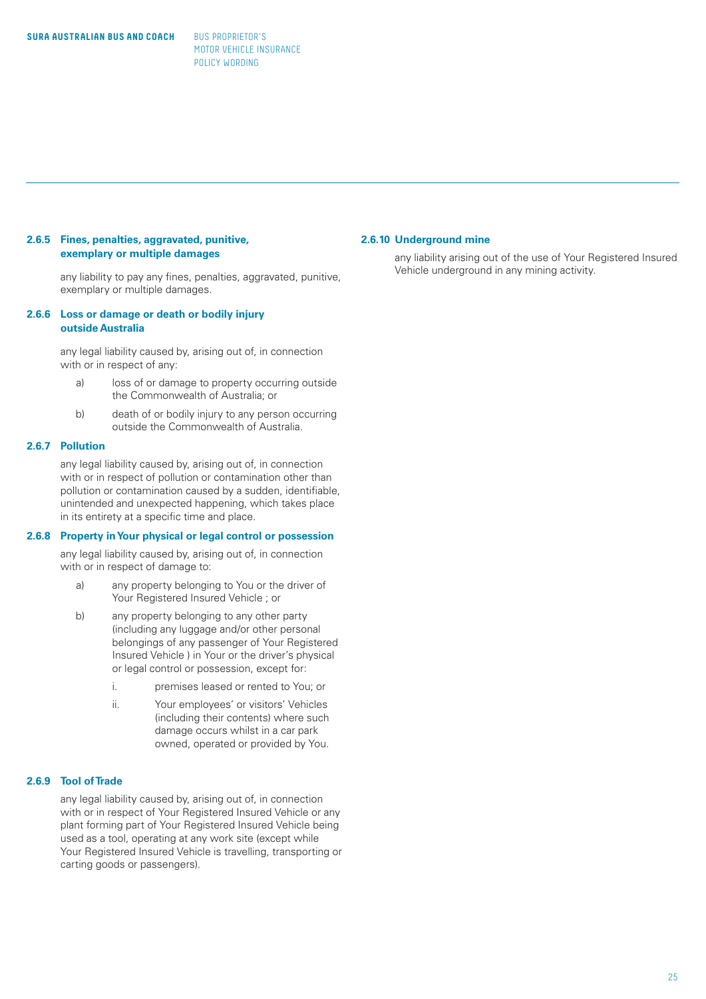# **2.6.5 Fines, penalties, aggravated, punitive, exemplary or multiple damages**

any liability to pay any fines, penalties, aggravated, punitive, exemplary or multiple damages.

#### **2.6.6 Loss or damage or death or bodily injury outside Australia**

any legal liability caused by, arising out of, in connection with or in respect of any:

- a) loss of or damage to property occurring outside the Commonwealth of Australia; or
- b) death of or bodily injury to any person occurring outside the Commonwealth of Australia.

# **2.6.7 Pollution**

any legal liability caused by, arising out of, in connection with or in respect of pollution or contamination other than pollution or contamination caused by a sudden, identifiable, unintended and unexpected happening, which takes place in its entirety at a specific time and place.

#### **2.6.8 Property in Your physical or legal control or possession**

any legal liability caused by, arising out of, in connection with or in respect of damage to:

- a) any property belonging to You or the driver of Your Registered Insured Vehicle ; or
- b) any property belonging to any other party (including any luggage and/or other personal belongings of any passenger of Your Registered Insured Vehicle ) in Your or the driver's physical or legal control or possession, except for:
	- i. **premises leased or rented to You; or**
	- ii. Your employees' or visitors' Vehicles (including their contents) where such damage occurs whilst in a car park owned, operated or provided by You.

# **2.6.9 Tool of Trade**

any legal liability caused by, arising out of, in connection with or in respect of Your Registered Insured Vehicle or any plant forming part of Your Registered Insured Vehicle being used as a tool, operating at any work site (except while Your Registered Insured Vehicle is travelling, transporting or carting goods or passengers).

#### **2.6.10 Underground mine**

any liability arising out of the use of Your Registered Insured Vehicle underground in any mining activity.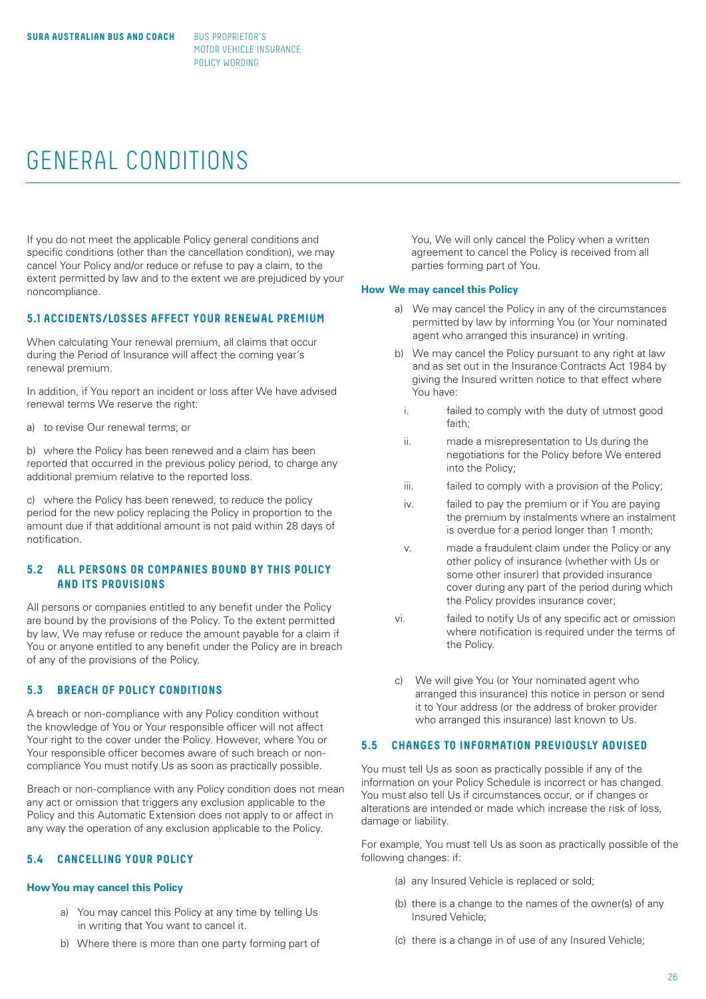# GENERAL CONDITIONS

If you do not meet the applicable Policy general conditions and specific conditions (other than the cancellation condition), we may cancel Your Policy and/or reduce or refuse to pay a claim, to the extent permitted by law and to the extent we are prejudiced by your noncompliance.

# **5.1 ACCIDENTS/LOSSES AFFECT YOUR RENEWAL PREMIUM**

When calculating Your renewal premium, all claims that occur during the Period of Insurance will affect the coming year's renewal premium.

In addition, if You report an incident or loss after We have advised renewal terms We reserve the right:

a) to revise Our renewal terms; or

b) where the Policy has been renewed and a claim has been reported that occurred in the previous policy period, to charge any additional premium relative to the reported loss.

c) where the Policy has been renewed, to reduce the policy period for the new policy replacing the Policy in proportion to the amount due if that additional amount is not paid within 28 days of notification.

# **5.2 ALL PERSONS OR COMPANIES BOUND BY THIS POLICY AND ITS PROVISIONS**

All persons or companies entitled to any benefit under the Policy are bound by the provisions of the Policy. To the extent permitted by law, We may refuse or reduce the amount payable for a claim if You or anyone entitled to any benefit under the Policy are in breach of any of the provisions of the Policy.

# **5.3 BREACH OF POLICY CONDITIONS**

A breach or non-compliance with any Policy condition without the knowledge of You or Your responsible officer will not affect Your right to the cover under the Policy. However, where You or Your responsible officer becomes aware of such breach or noncompliance You must notify Us as soon as practically possible.

Breach or non-compliance with any Policy condition does not mean any act or omission that triggers any exclusion applicable to the Policy and this Automatic Extension does not apply to or affect in any way the operation of any exclusion applicable to the Policy.

# **5.4 CANCELLING YOUR POLICY**

#### **How You may cancel this Policy**

- a) You may cancel this Policy at any time by telling Us in writing that You want to cancel it.
- b) Where there is more than one party forming part of

You, We will only cancel the Policy when a written agreement to cancel the Policy is received from all parties forming part of You.

#### **How We may cancel this Policy**

- a) We may cancel the Policy in any of the circumstances permitted by law by informing You (or Your nominated agent who arranged this insurance) in writing.
- b) We may cancel the Policy pursuant to any right at law and as set out in the Insurance Contracts Act 1984 by giving the Insured written notice to that effect where You have:
	- i. failed to comply with the duty of utmost good faith;
	- ii. made a misrepresentation to Us during the negotiations for the Policy before We entered into the Policy;
- iii. failed to comply with a provision of the Policy;
- iv. failed to pay the premium or if You are paying the premium by instalments where an instalment is overdue for a period longer than 1 month;
- v. made a fraudulent claim under the Policy or any other policy of insurance (whether with Us or some other insurer) that provided insurance cover during any part of the period during which the Policy provides insurance cover;
- vi. failed to notify Us of any specific act or omission where notification is required under the terms of the Policy.
- c) We will give You (or Your nominated agent who arranged this insurance) this notice in person or send it to Your address (or the address of broker provider who arranged this insurance) last known to Us.

# **5.5 CHANGES TO INFORMATION PREVIOUSLY ADVISED**

You must tell Us as soon as practically possible if any of the information on your Policy Schedule is incorrect or has changed. You must also tell Us if circumstances occur, or if changes or alterations are intended or made which increase the risk of loss, damage or liability.

For example, You must tell Us as soon as practically possible of the following changes: if:

- (a) any Insured Vehicle is replaced or sold;
- (b) there is a change to the names of the owner(s) of any Insured Vehicle;
- (c) there is a change in of use of any Insured Vehicle;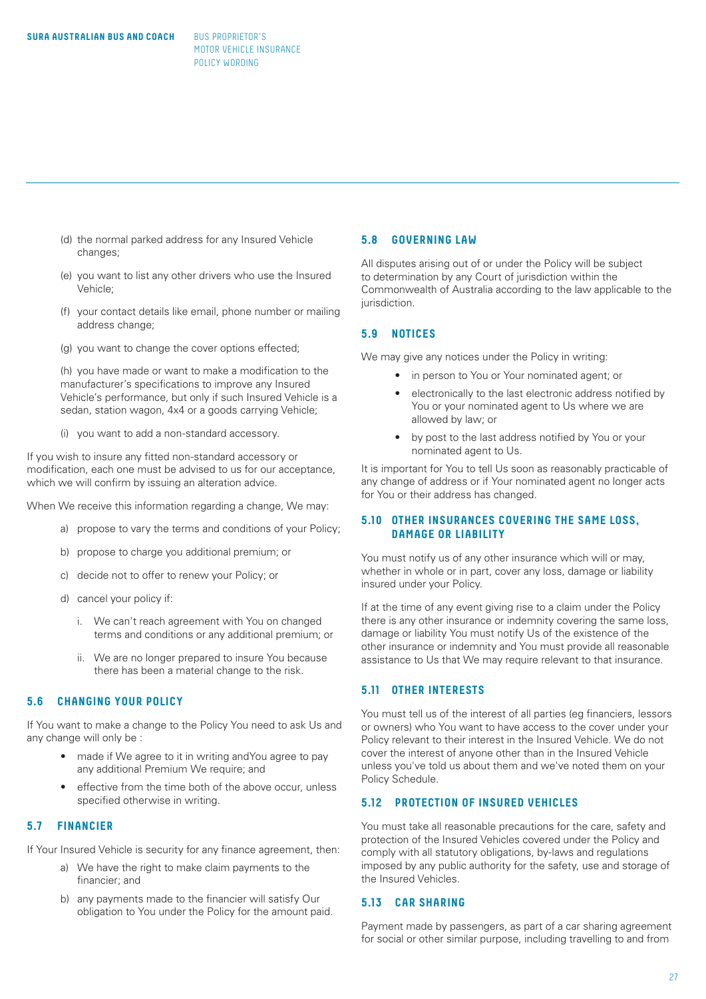- (d) the normal parked address for any Insured Vehicle changes;
- (e) you want to list any other drivers who use the Insured Vehicle;
- (f) your contact details like email, phone number or mailing address change:
- (g) you want to change the cover options effected;

 (h) you have made or want to make a modification to the manufacturer's specifications to improve any Insured Vehicle's performance, but only if such Insured Vehicle is a sedan, station wagon, 4x4 or a goods carrying Vehicle;

(i) you want to add a non-standard accessory.

If you wish to insure any fitted non-standard accessory or modification, each one must be advised to us for our acceptance, which we will confirm by issuing an alteration advice.

When We receive this information regarding a change, We may:

- a) propose to vary the terms and conditions of your Policy;
- b) propose to charge you additional premium; or
- c) decide not to offer to renew your Policy; or
- d) cancel your policy if:
	- i. We can't reach agreement with You on changed terms and conditions or any additional premium; or
	- ii. We are no longer prepared to insure You because there has been a material change to the risk.

# **5.6 CHANGING YOUR POLICY**

If You want to make a change to the Policy You need to ask Us and any change will only be :

- made if We agree to it in writing and You agree to pay any additional Premium We require; and
- effective from the time both of the above occur, unless specified otherwise in writing.

# **5.7 FINANCIER**

If Your Insured Vehicle is security for any finance agreement, then:

- a) We have the right to make claim payments to the financier; and
- b) any payments made to the financier will satisfy Our obligation to You under the Policy for the amount paid.

# **5.8 GOVERNING LAW**

All disputes arising out of or under the Policy will be subject to determination by any Court of jurisdiction within the Commonwealth of Australia according to the law applicable to the jurisdiction.

# **5.9 NOTICES**

We may give any notices under the Policy in writing:

- in person to You or Your nominated agent; or
- electronically to the last electronic address notified by You or your nominated agent to Us where we are allowed by law; or
- by post to the last address notified by You or your nominated agent to Us.

It is important for You to tell Us soon as reasonably practicable of any change of address or if Your nominated agent no longer acts for You or their address has changed.

# **5.10 OTHER INSURANCES COVERING THE SAME LOSS, DAMAGE OR LIABILITY**

You must notify us of any other insurance which will or may, whether in whole or in part, cover any loss, damage or liability insured under your Policy.

If at the time of any event giving rise to a claim under the Policy there is any other insurance or indemnity covering the same loss, damage or liability You must notify Us of the existence of the other insurance or indemnity and You must provide all reasonable assistance to Us that We may require relevant to that insurance.

# **5.11 OTHER INTERESTS**

You must tell us of the interest of all parties (eg financiers, lessors or owners) who You want to have access to the cover under your Policy relevant to their interest in the Insured Vehicle. We do not cover the interest of anyone other than in the Insured Vehicle unless you've told us about them and we've noted them on your Policy Schedule.

# **5.12 PROTECTION OF INSURED VEHICLES**

You must take all reasonable precautions for the care, safety and protection of the Insured Vehicles covered under the Policy and comply with all statutory obligations, by-laws and regulations imposed by any public authority for the safety, use and storage of the Insured Vehicles.

# **5.13 CAR SHARING**

Payment made by passengers, as part of a car sharing agreement for social or other similar purpose, including travelling to and from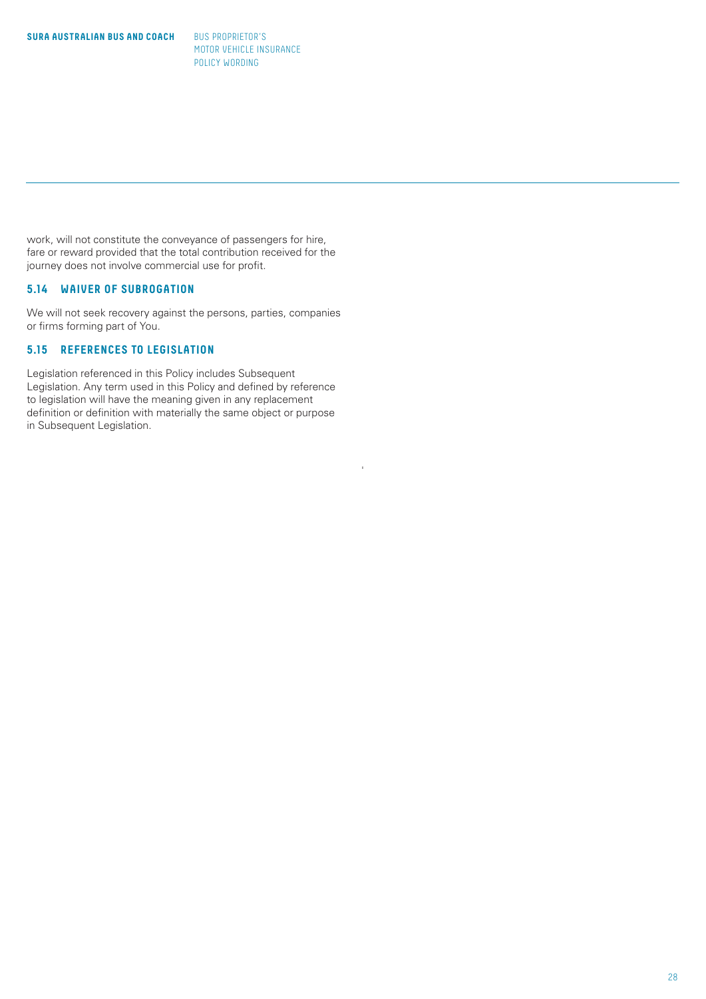work, will not constitute the conveyance of passengers for hire, fare or reward provided that the total contribution received for the journey does not involve commercial use for profit.

# **5.14 WAIVER OF SUBROGATION**

We will not seek recovery against the persons, parties, companies or firms forming part of You.

# **5.15 REFERENCES TO LEGISLATION**

Legislation referenced in this Policy includes Subsequent Legislation. Any term used in this Policy and defined by reference to legislation will have the meaning given in any replacement definition or definition with materially the same object or purpose in Subsequent Legislation.

'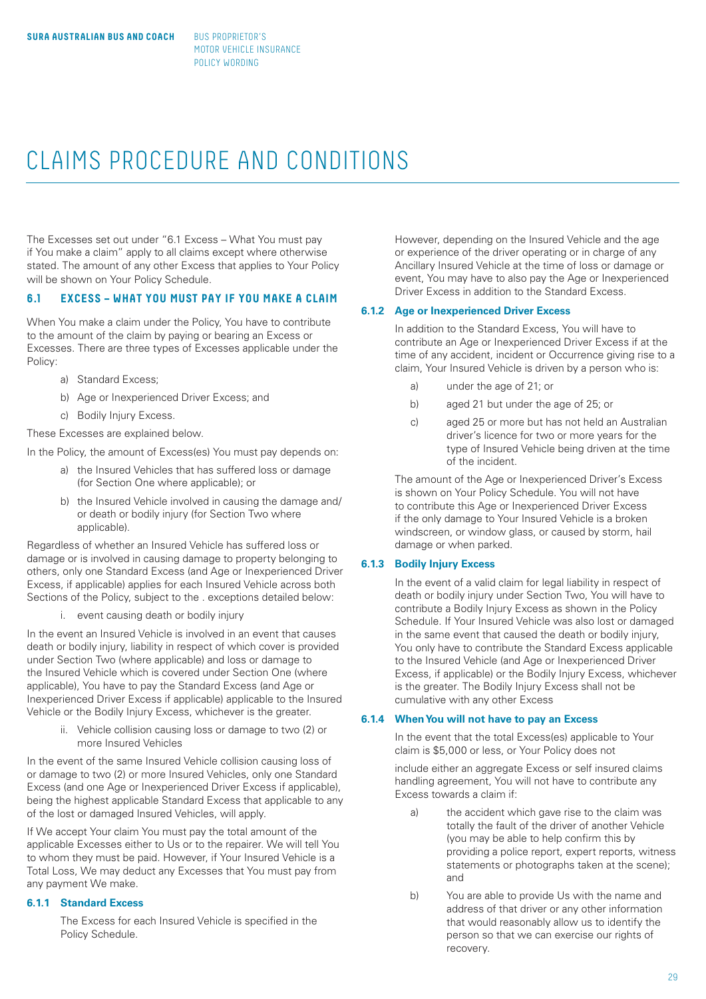# CLAIMS PROCEDURE AND CONDITIONS

The Excesses set out under "6.1 Excess – What You must pay if You make a claim" apply to all claims except where otherwise stated. The amount of any other Excess that applies to Your Policy will be shown on Your Policy Schedule.

# **6.1 EXCESS – WHAT YOU MUST PAY IF YOU MAKE A CLAIM**

When You make a claim under the Policy, You have to contribute to the amount of the claim by paying or bearing an Excess or Excesses. There are three types of Excesses applicable under the Policy:

- a) Standard Excess;
- b) Age or Inexperienced Driver Excess; and
- c) Bodily Injury Excess.

These Excesses are explained below.

In the Policy, the amount of Excess(es) You must pay depends on:

- a) the Insured Vehicles that has suffered loss or damage (for Section One where applicable); or
- b) the Insured Vehicle involved in causing the damage and/ or death or bodily injury (for Section Two where applicable).

Regardless of whether an Insured Vehicle has suffered loss or damage or is involved in causing damage to property belonging to others, only one Standard Excess (and Age or Inexperienced Driver Excess, if applicable) applies for each Insured Vehicle across both Sections of the Policy, subject to the . exceptions detailed below:

i. event causing death or bodily injury

In the event an Insured Vehicle is involved in an event that causes death or bodily injury, liability in respect of which cover is provided under Section Two (where applicable) and loss or damage to the Insured Vehicle which is covered under Section One (where applicable), You have to pay the Standard Excess (and Age or Inexperienced Driver Excess if applicable) applicable to the Insured Vehicle or the Bodily Injury Excess, whichever is the greater.

> ii. Vehicle collision causing loss or damage to two (2) or more Insured Vehicles

In the event of the same Insured Vehicle collision causing loss of or damage to two (2) or more Insured Vehicles, only one Standard Excess (and one Age or Inexperienced Driver Excess if applicable), being the highest applicable Standard Excess that applicable to any of the lost or damaged Insured Vehicles, will apply.

If We accept Your claim You must pay the total amount of the applicable Excesses either to Us or to the repairer. We will tell You to whom they must be paid. However, if Your Insured Vehicle is a Total Loss, We may deduct any Excesses that You must pay from any payment We make.

# **6.1.1 Standard Excess**

The Excess for each Insured Vehicle is specified in the Policy Schedule.

However, depending on the Insured Vehicle and the age or experience of the driver operating or in charge of any Ancillary Insured Vehicle at the time of loss or damage or event, You may have to also pay the Age or Inexperienced Driver Excess in addition to the Standard Excess.

# **6.1.2 Age or Inexperienced Driver Excess**

In addition to the Standard Excess, You will have to contribute an Age or Inexperienced Driver Excess if at the time of any accident, incident or Occurrence giving rise to a claim, Your Insured Vehicle is driven by a person who is:

- a) under the age of 21; or
- b) aged 21 but under the age of 25; or
- c) aged 25 or more but has not held an Australian driver's licence for two or more years for the type of Insured Vehicle being driven at the time of the incident.

The amount of the Age or Inexperienced Driver's Excess is shown on Your Policy Schedule. You will not have to contribute this Age or Inexperienced Driver Excess if the only damage to Your Insured Vehicle is a broken windscreen, or window glass, or caused by storm, hail damage or when parked.

#### **6.1.3 Bodily Injury Excess**

In the event of a valid claim for legal liability in respect of death or bodily injury under Section Two, You will have to contribute a Bodily Injury Excess as shown in the Policy Schedule. If Your Insured Vehicle was also lost or damaged in the same event that caused the death or bodily injury, You only have to contribute the Standard Excess applicable to the Insured Vehicle (and Age or Inexperienced Driver Excess, if applicable) or the Bodily Injury Excess, whichever is the greater. The Bodily Injury Excess shall not be cumulative with any other Excess

# **6.1.4 When You will not have to pay an Excess**

In the event that the total Excess(es) applicable to Your claim is \$5,000 or less, or Your Policy does not

include either an aggregate Excess or self insured claims handling agreement, You will not have to contribute any Excess towards a claim if:

- the accident which gave rise to the claim was totally the fault of the driver of another Vehicle (you may be able to help confirm this by providing a police report, expert reports, witness statements or photographs taken at the scene); and
- b) You are able to provide Us with the name and address of that driver or any other information that would reasonably allow us to identify the person so that we can exercise our rights of recovery.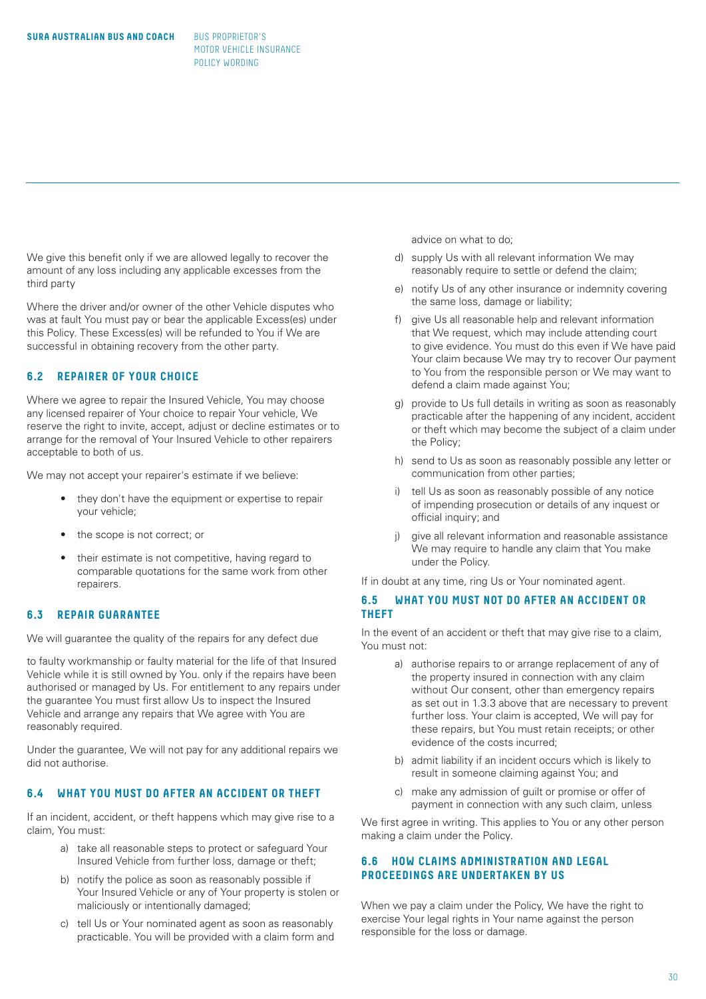We give this benefit only if we are allowed legally to recover the amount of any loss including any applicable excesses from the third party

Where the driver and/or owner of the other Vehicle disputes who was at fault You must pay or bear the applicable Excess(es) under this Policy. These Excess(es) will be refunded to You if We are successful in obtaining recovery from the other party.

# **6.2 REPAIRER OF YOUR CHOICE**

Where we agree to repair the Insured Vehicle, You may choose any licensed repairer of Your choice to repair Your vehicle, We reserve the right to invite, accept, adjust or decline estimates or to arrange for the removal of Your Insured Vehicle to other repairers acceptable to both of us.

We may not accept your repairer's estimate if we believe:

- they don't have the equipment or expertise to repair your vehicle;
- the scope is not correct; or
- their estimate is not competitive, having regard to comparable quotations for the same work from other repairers.

# **6.3 REPAIR GUARANTEE**

We will guarantee the quality of the repairs for any defect due

to faulty workmanship or faulty material for the life of that Insured Vehicle while it is still owned by You. only if the repairs have been authorised or managed by Us. For entitlement to any repairs under the guarantee You must first allow Us to inspect the Insured Vehicle and arrange any repairs that We agree with You are reasonably required.

Under the guarantee, We will not pay for any additional repairs we did not authorise.

#### **6.4 WHAT YOU MUST DO AFTER AN ACCIDENT OR THEFT**

If an incident, accident, or theft happens which may give rise to a claim, You must:

- a) take all reasonable steps to protect or safeguard Your Insured Vehicle from further loss, damage or theft;
- b) notify the police as soon as reasonably possible if Your Insured Vehicle or any of Your property is stolen or maliciously or intentionally damaged;
- c) tell Us or Your nominated agent as soon as reasonably practicable. You will be provided with a claim form and

advice on what to do;

- d) supply Us with all relevant information We may reasonably require to settle or defend the claim;
- e) notify Us of any other insurance or indemnity covering the same loss, damage or liability;
- f) give Us all reasonable help and relevant information that We request, which may include attending court to give evidence. You must do this even if We have paid Your claim because We may try to recover Our payment to You from the responsible person or We may want to defend a claim made against You;
- g) provide to Us full details in writing as soon as reasonably practicable after the happening of any incident, accident or theft which may become the subject of a claim under the Policy;
- h) send to Us as soon as reasonably possible any letter or communication from other parties;
- i) tell Us as soon as reasonably possible of any notice of impending prosecution or details of any inquest or official inquiry; and
- j) give all relevant information and reasonable assistance We may require to handle any claim that You make under the Policy.

If in doubt at any time, ring Us or Your nominated agent.

# **6.5 WHAT YOU MUST NOT DO AFTER AN ACCIDENT OR THEFT**

In the event of an accident or theft that may give rise to a claim. You must not:

- a) authorise repairs to or arrange replacement of any of the property insured in connection with any claim without Our consent, other than emergency repairs as set out in 1.3.3 above that are necessary to prevent further loss. Your claim is accepted, We will pay for these repairs, but You must retain receipts; or other evidence of the costs incurred;
- b) admit liability if an incident occurs which is likely to result in someone claiming against You; and
- c) make any admission of guilt or promise or offer of payment in connection with any such claim, unless

We first agree in writing. This applies to You or any other person making a claim under the Policy.

# **6.6 HOW CLAIMS ADMINISTRATION AND LEGAL PROCEEDINGS ARE UNDERTAKEN BY US**

When we pay a claim under the Policy, We have the right to exercise Your legal rights in Your name against the person responsible for the loss or damage.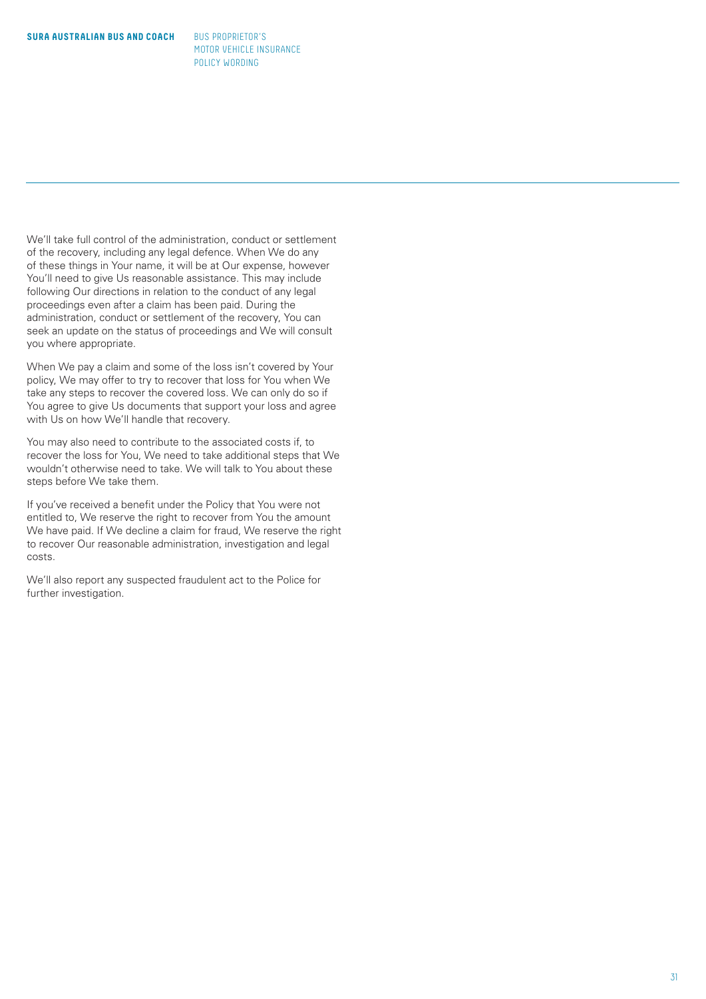We'll take full control of the administration, conduct or settlement of the recovery, including any legal defence. When We do any of these things in Your name, it will be at Our expense, however You'll need to give Us reasonable assistance. This may include following Our directions in relation to the conduct of any legal proceedings even after a claim has been paid. During the administration, conduct or settlement of the recovery, You can seek an update on the status of proceedings and We will consult you where appropriate.

When We pay a claim and some of the loss isn't covered by Your policy, We may offer to try to recover that loss for You when We take any steps to recover the covered loss. We can only do so if You agree to give Us documents that support your loss and agree with Us on how We'll handle that recovery.

You may also need to contribute to the associated costs if, to recover the loss for You, We need to take additional steps that We wouldn't otherwise need to take. We will talk to You about these steps before We take them.

If you've received a benefit under the Policy that You were not entitled to, We reserve the right to recover from You the amount We have paid. If We decline a claim for fraud, We reserve the right to recover Our reasonable administration, investigation and legal costs.

We'll also report any suspected fraudulent act to the Police for further investigation.